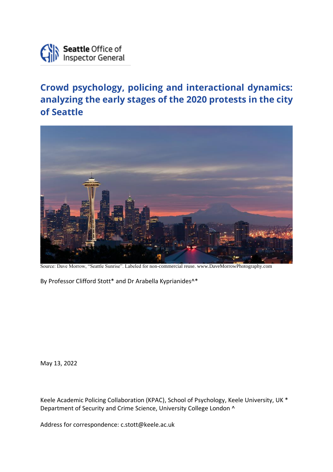

## **Crowd psychology, policing and interactional dynamics: analyzing the early stages of the 2020 protests in the city of Seattle**



Source: Dave Morrow, "Seattle Sunrise". Labeled for non-commercial reuse. www.DaveMorrowPhotography.com

By Professor Clifford Stott\* and Dr Arabella Kyprianides<sup>^\*</sup>

May 13, 2022

Keele Academic Policing Collaboration (KPAC), School of Psychology, Keele University, UK \* Department of Security and Crime Science, University College London ^

Address for correspondence: c.stott@keele.ac.uk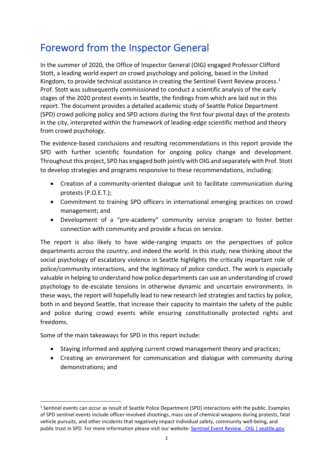# Foreword from the Inspector General

In the summer of 2020, the Office of Inspector General (OIG) engaged Professor Clifford Stott, a leading world expert on crowd psychology and policing, based in the United Kingdom, to provide technical assistance in creating the Sentinel Event Review process.<sup>1</sup> Prof. Stott was subsequently commissioned to conduct a scientific analysis of the early stages of the 2020 protest events in Seattle, the findings from which are laid out in this report. The document provides a detailed academic study of Seattle Police Department (SPD) crowd policing policy and SPD actions during the first four pivotal days of the protests in the city, interpreted within the framework of leading-edge scientific method and theory from crowd psychology.

The evidence-based conclusions and resulting recommendations in this report provide the SPD with further scientific foundation for ongoing policy change and development. Throughout this project, SPD has engaged both jointly with OIG and separately with Prof. Stott to develop strategies and programs responsive to these recommendations, including:

- Creation of a community-oriented dialogue unit to facilitate communication during protests (P.O.E.T.);
- Commitment to training SPD officers in international emerging practices on crowd management; and
- Development of a "pre-academy" community service program to foster better connection with community and provide a focus on service.

The report is also likely to have wide-ranging impacts on the perspectives of police departments across the country, and indeed the world. In this study, new thinking about the social psychology of escalatory violence in Seattle highlights the critically important role of police/community interactions, and the legitimacy of police conduct. The work is especially valuable in helping to understand how police departments can use an understanding of crowd psychology to de-escalate tensions in otherwise dynamic and uncertain environments. In these ways, the report will hopefully lead to new research led strategies and tactics by police, both in and beyond Seattle, that increase their capacity to maintain the safety of the public and police during crowd events while ensuring constitutionally protected rights and freedoms.

Some of the main takeaways for SPD in this report include:

- Staying informed and applying current crowd management theory and practices;
- Creating an environment for communication and dialogue with community during demonstrations; and

<sup>1</sup> Sentinel events can occur as result of Seattle Police Department (SPD) interactions with the public. Examples of SPD sentinel events include officer-involved shootings, mass use of chemical weapons during protests, fatal vehicle pursuits, and other incidents that negatively impact individual safety, community well-being, and public trust in SPD. For more information please visit our website: [Sentinel Event Review -](https://www.seattle.gov/oig/sentinel-event-review) OIG | seattle.gov.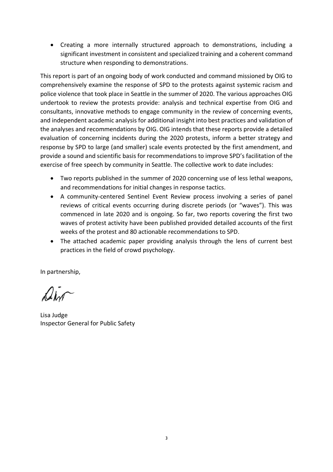• Creating a more internally structured approach to demonstrations, including a significant investment in consistent and specialized training and a coherent command structure when responding to demonstrations.

This report is part of an ongoing body of work conducted and command missioned by OIG to comprehensively examine the response of SPD to the protests against systemic racism and police violence that took place in Seattle in the summer of 2020. The various approaches OIG undertook to review the protests provide: analysis and technical expertise from OIG and consultants, innovative methods to engage community in the review of concerning events, and independent academic analysis for additional insight into best practices and validation of the analyses and recommendations by OIG. OIG intends that these reports provide a detailed evaluation of concerning incidents during the 2020 protests, inform a better strategy and response by SPD to large (and smaller) scale events protected by the first amendment, and provide a sound and scientific basis for recommendations to improve SPD's facilitation of the exercise of free speech by community in Seattle. The collective work to date includes:

- Two reports published in the summer of 2020 concerning use of less lethal weapons, and recommendations for initial changes in response tactics.
- A community-centered Sentinel Event Review process involving a series of panel reviews of critical events occurring during discrete periods (or "waves"). This was commenced in late 2020 and is ongoing. So far, two reports covering the first two waves of protest activity have been published provided detailed accounts of the first weeks of the protest and 80 actionable recommendations to SPD.
- The attached academic paper providing analysis through the lens of current best practices in the field of crowd psychology.

In partnership,

air

Lisa Judge Inspector General for Public Safety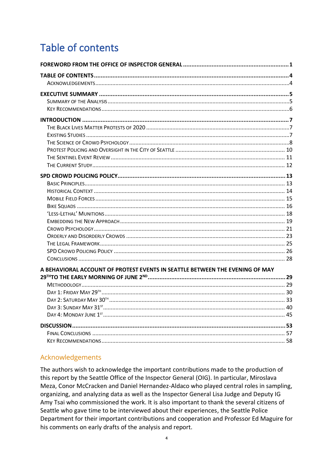# Table of contents

| A BEHAVIORAL ACCOUNT OF PROTEST EVENTS IN SEATTLE BETWEEN THE EVENING OF MAY |  |
|------------------------------------------------------------------------------|--|
|                                                                              |  |
|                                                                              |  |
|                                                                              |  |
|                                                                              |  |
|                                                                              |  |
|                                                                              |  |
|                                                                              |  |
|                                                                              |  |
|                                                                              |  |

## Acknowledgements

The authors wish to acknowledge the important contributions made to the production of this report by the Seattle Office of the Inspector General (OIG). In particular, Miroslava Meza, Conor McCracken and Daniel Hernandez-Aldaco who played central roles in sampling, organizing, and analyzing data as well as the Inspector General Lisa Judge and Deputy IG Amy Tsai who commissioned the work. It is also important to thank the several citizens of Seattle who gave time to be interviewed about their experiences, the Seattle Police Department for their important contributions and cooperation and Professor Ed Maguire for his comments on early drafts of the analysis and report.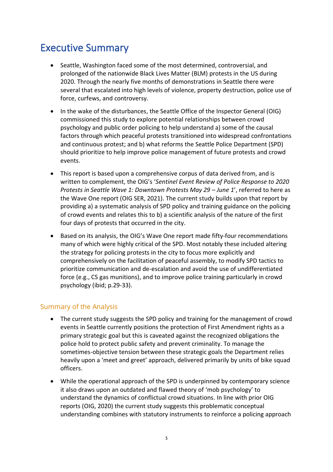## Executive Summary

- Seattle, Washington faced some of the most determined, controversial, and prolonged of the nationwide Black Lives Matter (BLM) protests in the US during 2020. Through the nearly five months of demonstrations in Seattle there were several that escalated into high levels of violence, property destruction, police use of force, curfews, and controversy.
- In the wake of the disturbances, the Seattle Office of the Inspector General (OIG) commissioned this study to explore potential relationships between crowd psychology and public order policing to help understand a) some of the causal factors through which peaceful protests transitioned into widespread confrontations and continuous protest; and b) what reforms the Seattle Police Department (SPD) should prioritize to help improve police management of future protests and crowd events.
- This report is based upon a comprehensive corpus of data derived from, and is written to complement, the OIG's '*Sentinel Event Review of Police Response to 2020 Protests in Seattle Wave 1: Downtown Protests May 29 – June 1', referred to here as* the Wave One report (OIG SER, 2021). The current study builds upon that report by providing a) a systematic analysis of SPD policy and training guidance on the policing of crowd events and relates this to b) a scientific analysis of the nature of the first four days of protests that occurred in the city.
- Based on its analysis, the OIG's Wave One report made fifty-four recommendations many of which were highly critical of the SPD. Most notably these included altering the strategy for policing protests in the city to focus more explicitly and comprehensively on the facilitation of peaceful assembly, to modify SPD tactics to prioritize communication and de-escalation and avoid the use of undifferentiated force (e.g., CS gas munitions), and to improve police training particularly in crowd psychology (ibid; p.29-33).

## Summary of the Analysis

- The current study suggests the SPD policy and training for the management of crowd events in Seattle currently positions the protection of First Amendment rights as a primary strategic goal but this is caveated against the recognized obligations the police hold to protect public safety and prevent criminality. To manage the sometimes-objective tension between these strategic goals the Department relies heavily upon a 'meet and greet' approach, delivered primarily by units of bike squad officers.
- While the operational approach of the SPD is underpinned by contemporary science it also draws upon an outdated and flawed theory of 'mob psychology' to understand the dynamics of conflictual crowd situations. In line with prior OIG reports (OIG, 2020) the current study suggests this problematic conceptual understanding combines with statutory instruments to reinforce a policing approach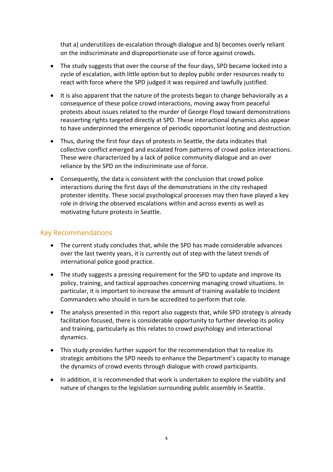that a) underutilizes de-escalation through dialogue and b) becomes overly reliant on the indiscriminate and disproportionate use of force against crowds.

- The study suggests that over the course of the four days, SPD became locked into a cycle of escalation, with little option but to deploy public order resources ready to react with force where the SPD judged it was required and lawfully justified.
- It is also apparent that the nature of the protests began to change behaviorally as a consequence of these police crowd interactions, moving away from peaceful protests about issues related to the murder of George Floyd toward demonstrations reasserting rights targeted directly at SPD. These interactional dynamics also appear to have underpinned the emergence of periodic opportunist looting and destruction.
- Thus, during the first four days of protests in Seattle, the data indicates that collective conflict emerged and escalated from patterns of crowd police interactions. These were characterized by a lack of police community dialogue and an over reliance by the SPD on the indiscriminate use of force.
- Consequently, the data is consistent with the conclusion that crowd police interactions during the first days of the demonstrations in the city reshaped protester identity. These social psychological processes may then have played a key role in driving the observed escalations within and across events as well as motivating future protests in Seattle.

#### Key Recommendations

- The current study concludes that, while the SPD has made considerable advances over the last twenty years, it is currently out of step with the latest trends of international police good practice.
- The study suggests a pressing requirement for the SPD to update and improve its policy, training, and tactical approaches concerning managing crowd situations. In particular, it is important to increase the amount of training available to Incident Commanders who should in turn be accredited to perform that role.
- The analysis presented in this report also suggests that, while SPD strategy is already facilitation focused, there is considerable opportunity to further develop its policy and training, particularly as this relates to crowd psychology and interactional dynamics.
- This study provides further support for the recommendation that to realize its strategic ambitions the SPD needs to enhance the Department's capacity to manage the dynamics of crowd events through dialogue with crowd participants.
- In addition, it is recommended that work is undertaken to explore the viability and nature of changes to the legislation surrounding public assembly in Seattle.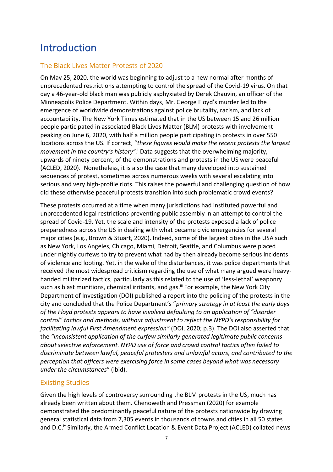# Introduction

## The Black Lives Matter Protests of 2020

On May 25, 2020, the world was beginning to adjust to a new normal after months of unprecedented restrictions attempting to control the spread of the Covid-19 virus. On that day a 46-year-old black man was publicly asphyxiated by Derek Chauvin, an officer of the Minneapolis Police Department. Within days, Mr. George Floyd's murder led to the emergence of worldwide demonstrations against police brutality, racism, and lack of accountability. The New York Times estimated that in the US between 15 and 26 million people participated in associated Black Lives Matter (BLM) protests with involvement peaking on June 6, 2020, with half a million people participating in protests in over 550 locations across the US. If correct, "*these figures would make the recent protests the largest*  movement in the country's history".<sup>†</sup> Data suggests that the overwhelming majority, upwards of ninety percent, of the demonstrations and protests in the US were peaceful  $(ACLED, 2020)$ .<sup>ii</sup> Nonetheless, it is also the case that many developed into sustained sequences of protest, sometimes across numerous weeks with several escalating into serious and very high-profile riots. This raises the powerful and challenging question of how did these otherwise peaceful protests transition into such problematic crowd events?

These protests occurred at a time when many jurisdictions had instituted powerful and unprecedented legal restrictions preventing public assembly in an attempt to control the spread of Covid-19. Yet, the scale and intensity of the protests exposed a lack of police preparedness across the US in dealing with what became civic emergencies for several major cities (e.g., Brown & Stuart, 2020). Indeed, some of the largest cities in the USA such as New York, Los Angeles, Chicago, Miami, Detroit, Seattle, and Columbus were placed under nightly curfews to try to prevent what had by then already become serious incidents of violence and looting. Yet, in the wake of the disturbances, it was police departments that received the most widespread criticism regarding the use of what many argued were heavyhanded militarized tactics, particularly as this related to the use of 'less-lethal' weaponry such as blast munitions, chemical irritants, and gas.<sup>iii</sup> For example, the New York City Department of Investigation (DOI) published a report into the policing of the protests in the city and concluded that the Police Department's "*primary strategy in at least the early days of the Floyd protests appears to have involved defaulting to an application of "disorder control" tactics and methods, without adjustment to reflect the NYPD's responsibility for facilitating lawful First Amendment expression"* (DOI, 2020; p.3). The DOI also asserted that the *"inconsistent application of the curfew similarly generated legitimate public concerns about selective enforcement. NYPD use of force and crowd control tactics often failed to discriminate between lawful, peaceful protesters and unlawful actors, and contributed to the perception that officers were exercising force in some cases beyond what was necessary under the circumstances*" (ibid).

## Existing Studies

Given the high levels of controversy surrounding the BLM protests in the US, much has already been written about them. Chenoweth and Pressman (2020) for example demonstrated the predominantly peaceful nature of the protests nationwide by drawing general statistical data from 7,305 events in thousands of towns and cities in all 50 states and D.C.<sup>iv</sup> Similarly, the Armed Conflict Location & Event Data Project (ACLED) collated news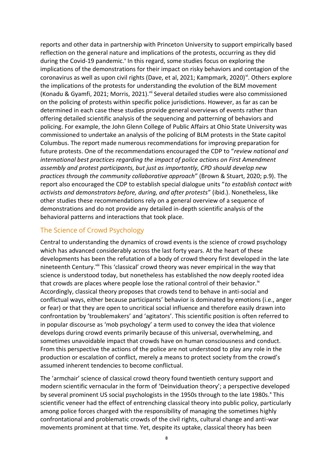reports and other data in partnership with Princeton University to support empirically based reflection on the general nature and implications of the protests, occurring as they did during the Covid-19 pandemic.<sup>Y</sup> In this regard, some studies focus on exploring the implications of the demonstrations for their impact on risky behaviors and contagion of the coronavirus as well as upon civil rights (Dave, et al, 2021; Kampmark, 2020)<sup>vi</sup>. Others explore the implications of the protests for understanding the evolution of the BLM movement (Konadu & Gyamfi, 2021; Morris, 2021). Vii Several detailed studies were also commissioned on the policing of protests within specific police jurisdictions. However, as far as can be determined in each case these studies provide general overviews of events rather than offering detailed scientific analysis of the sequencing and patterning of behaviors and policing. For example, the John Glenn College of Public Affairs at Ohio State University was commissioned to undertake an analysis of the policing of BLM protests in the State capitol Columbus. The report made numerous recommendations for improving preparation for future protests. One of the recommendations encouraged the CDP to "*review national and international best practices regarding the impact of police actions on First Amendment assembly and protest participants, but just as importantly, CPD should develop new practices through the community collaborative approach*" (Brown & Stuart, 2020; p.9). The report also encouraged the CDP to establish special dialogue units "*to establish contact with activists and demonstrators before, during, and after protests*" (ibid.). Nonetheless, like other studies these recommendations rely on a general overview of a sequence of demonstrations and do not provide any detailed in-depth scientific analysis of the behavioral patterns and interactions that took place.

## The Science of Crowd Psychology

Central to understanding the dynamics of crowd events is the science of crowd psychology which has advanced considerably across the last forty years. At the heart of these developments has been the refutation of a body of crowd theory first developed in the late nineteenth Century.<sup>viii</sup> This 'classical' crowd theory was never empirical in the way that science is understood today, but nonetheless has established the now deeply rooted idea that crowds are places where people lose the rational control of their behavior.<sup>ix</sup> Accordingly, classical theory proposes that crowds tend to behave in anti-social and conflictual ways, either because participants' behavior is dominated by emotions (i.e., anger or fear) or that they are open to uncritical social influence and therefore easily drawn into confrontation by 'troublemakers' and 'agitators'. This scientific position is often referred to in popular discourse as 'mob psychology' a term used to convey the idea that violence develops during crowd events primarily because of this universal, overwhelming, and sometimes unavoidable impact that crowds have on human consciousness and conduct. From this perspective the actions of the police are not understood to play any role in the production or escalation of conflict, merely a means to protect society from the crowd's assumed inherent tendencies to become conflictual.

The 'armchair' science of classical crowd theory found twentieth century support and modern scientific vernacular in the form of 'Deinviduation theory'; a perspective developed by several prominent US social psychologists in the 1950s through to the late 1980s.<sup>x</sup> This scientific veneer had the effect of entrenching classical theory into public policy, particularly among police forces charged with the responsibility of managing the sometimes highly confrontational and problematic crowds of the civil rights, cultural change and anti-war movements prominent at that time. Yet, despite its uptake, classical theory has been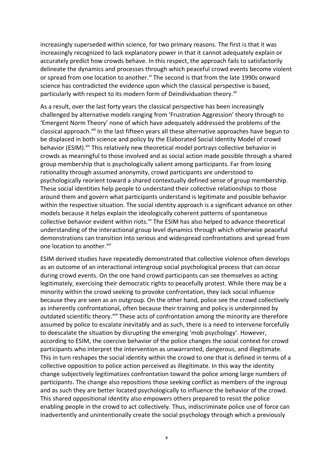increasingly superseded within science, for two primary reasons. The first is that it was increasingly recognized to lack explanatory power in that it cannot adequately explain or accurately predict how crowds behave. In this respect, the approach fails to satisfactorily delineate the dynamics and processes through which peaceful crowd events become violent or spread from one location to another.<sup>xi</sup> The second is that from the late 1990s onward science has contradicted the evidence upon which the classical perspective is based, particularly with respect to its modern form of Deindividuation theory.<sup>xii</sup>

As a result, over the last forty years the classical perspective has been increasingly challenged by alternative models ranging from 'Frustration Aggression' theory through to 'Emergent Norm Theory' none of which have adequately addressed the problems of the classical approach.<sup>xiii</sup> In the last fifteen years all these alternative approaches have begun to be displaced in both science and policy by the Elaborated Social Identity Model of crowd behavior (ESIM).<sup>xiv</sup> This relatively new theoretical model portrays collective behavior in crowds as meaningful to those involved and as social action made possible through a shared group membership that is psychologically salient among participants. Far from losing rationality through assumed anonymity, crowd participants are understood to psychologically reorient toward a shared contextually defined sense of group membership. These social identities help people to understand their collective relationships to those around them and govern what participants understand is legitimate and possible behavior within the respective situation. The social identity approach is a significant advance on other models because it helps explain the ideologically coherent patterns of spontaneous collective behavior evident within riots.<sup>xv</sup> The ESIM has also helped to advance theoretical understanding of the interactional group level dynamics through which otherwise peaceful demonstrations can transition into serious and widespread confrontations and spread from one location to another.<sup>xvi</sup>

ESIM derived studies have repeatedly demonstrated that collective violence often develops as an outcome of an interactional intergroup social psychological process that can occur during crowd events. On the one hand crowd participants can see themselves as acting legitimately, exercising their democratic rights to peacefully protest. While there may be a minority within the crowd seeking to provoke confrontation, they lack social influence because they are seen as an outgroup. On the other hand, police see the crowd collectively as inherently confrontational, often because their training and policy is underpinned by outdated scientific theory.<sup>xvii</sup> These acts of confrontation among the minority are therefore assumed by police to escalate inevitably and as such, there is a need to intervene forcefully to deescalate the situation by disrupting the emerging 'mob psychology'. However, according to ESIM, the coercive behavior of the police changes the social context for crowd participants who interpret the intervention as unwarranted, dangerous, and illegitimate. This in turn reshapes the social identity within the crowd to one that is defined in terms of a collective opposition to police action perceived as illegitimate. In this way the identity change subjectively legitimatizes confrontation toward the police among large numbers of participants. The change also repositions those seeking conflict as members of the ingroup and as such they are better located psychologically to influence the behavior of the crowd. This shared oppositional identity also empowers others prepared to resist the police enabling people in the crowd to act collectively. Thus, indiscriminate police use of force can inadvertently and unintentionally create the social psychology through which a previously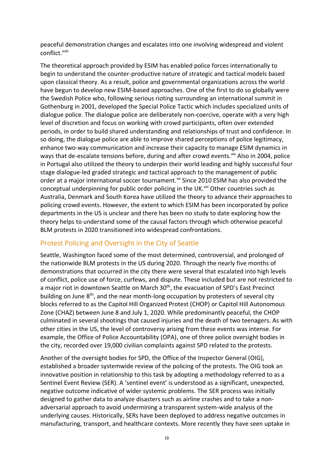peaceful demonstration changes and escalates into one involving widespread and violent conflict.<sup>xviii</sup>

The theoretical approach provided by ESIM has enabled police forces internationally to begin to understand the counter-productive nature of strategic and tactical models based upon classical theory. As a result, police and governmental organizations across the world have begun to develop new ESIM-based approaches. One of the first to do so globally were the Swedish Police who, following serious rioting surrounding an international summit in Gothenburg in 2001, developed the Special Police Tactic which includes specialized units of dialogue police. The dialogue police are deliberately non-coercive, operate with a very high level of discretion and focus on working with crowd participants, often over extended periods, in order to build shared understanding and relationships of trust and confidence. In so doing, the dialogue police are able to improve shared perceptions of police legitimacy, enhance two-way communication and increase their capacity to manage ESIM dynamics in ways that de-escalate tensions before, during and after crowd events. Xix Also in 2004, police in Portugal also utilized the theory to underpin their world leading and highly successful four stage dialogue-led graded strategic and tactical approach to the management of public order at a major international soccer tournament.<sup>xx</sup> Since 2010 ESIM has also provided the conceptual underpinning for public order policing in the UK. $^{xxi}$  Other countries such as Australia, Denmark and South Korea have utilized the theory to advance their approaches to policing crowd events. However, the extent to which ESIM has been incorporated by police departments in the US is unclear and there has been no study to date exploring how the theory helps to understand some of the causal factors through which otherwise peaceful BLM protests in 2020 transitioned into widespread confrontations.

### Protest Policing and Oversight in the City of Seattle

Seattle, Washington faced some of the most determined, controversial, and prolonged of the nationwide BLM protests in the US during 2020. Through the nearly five months of demonstrations that occurred in the city there were several that escalated into high levels of conflict, police use of force, curfews, and dispute. These included but are not restricted to a major riot in downtown Seattle on March 30<sup>th</sup>, the evacuation of SPD's East Precinct building on June 8<sup>th</sup>, and the near month-long occupation by protesters of several city blocks referred to as the Capitol Hill Organized Protest (CHOP) or Capitol Hill Autonomous Zone (CHAZ) between June 8 and July 1, 2020. While predominantly peaceful, the CHOP culminated in several shootings that caused injuries and the death of two teenagers. As with other cities in the US, the level of controversy arising from these events was intense. For example, the Office of Police Accountability (OPA), one of three police oversight bodies in the city, recorded over 19,000 civilian complaints against SPD related to the protests.

Another of the oversight bodies for SPD, the Office of the Inspector General (OIG), established a broader systemwide review of the policing of the protests. The OIG took an innovative position in relationship to this task by adopting a methodology referred to as a Sentinel Event Review (SER). A 'sentinel event' is understood as a significant, unexpected, negative outcome indicative of wider systemic problems. The SER process was initially designed to gather data to analyze disasters such as airline crashes and to take a nonadversarial approach to avoid undermining a transparent system-wide analysis of the underlying causes. Historically, SERs have been deployed to address negative outcomes in manufacturing, transport, and healthcare contexts. More recently they have seen uptake in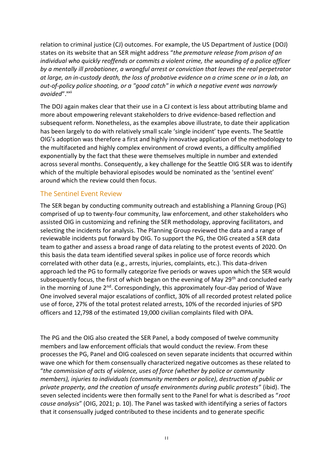relation to criminal justice (CJ) outcomes. For example, the US Department of Justice (DOJ) states on its website that an SER might address "*the premature release from prison of an individual who quickly reoffends or commits a violent crime, the wounding of a police officer by a mentally ill probationer, a wrongful arrest or conviction that leaves the real perpetrator at large, an in-custody death, the loss of probative evidence on a crime scene or in a lab, an out-of-policy police shooting, or a "good catch" in which a negative event was narrowly*  avoided".<sup>xxii</sup>

The DOJ again makes clear that their use in a CJ context is less about attributing blame and more about empowering relevant stakeholders to drive evidence-based reflection and subsequent reform. Nonetheless, as the examples above illustrate, to date their application has been largely to do with relatively small scale 'single incident' type events. The Seattle OIG's adoption was therefore a first and highly innovative application of the methodology to the multifaceted and highly complex environment of crowd events, a difficulty amplified exponentially by the fact that these were themselves multiple in number and extended across several months. Consequently, a key challenge for the Seattle OIG SER was to identify which of the multiple behavioral episodes would be nominated as the 'sentinel event' around which the review could then focus.

### The Sentinel Event Review

The SER began by conducting community outreach and establishing a Planning Group (PG) comprised of up to twenty-four community, law enforcement, and other stakeholders who assisted OIG in customizing and refining the SER methodology, approving facilitators, and selecting the incidents for analysis. The Planning Group reviewed the data and a range of reviewable incidents put forward by OIG. To support the PG, the OIG created a SER data team to gather and assess a broad range of data relating to the protest events of 2020. On this basis the data team identified several spikes in police use of force records which correlated with other data (e.g., arrests, injuries, complaints, etc.). This data-driven approach led the PG to formally categorize five periods or waves upon which the SER would subsequently focus, the first of which began on the evening of May 29<sup>th</sup> and concluded early in the morning of June  $2^{nd}$ . Correspondingly, this approximately four-day period of Wave One involved several major escalations of conflict, 30% of all recorded protest related police use of force, 27% of the total protest related arrests, 10% of the recorded injuries of SPD officers and 12,798 of the estimated 19,000 civilian complaints filed with OPA.

The PG and the OIG also created the SER Panel, a body composed of twelve community members and law enforcement officials that would conduct the review. From these processes the PG, Panel and OIG coalesced on seven separate incidents that occurred within wave one which for them consensually characterized negative outcomes as these related to "*the commission of acts of violence, uses of force (whether by police or community members), injuries to individuals (community members or police), destruction of public or private property, and the creation of unsafe environments during public protests*" (ibid). The seven selected incidents were then formally sent to the Panel for what is described as "*root cause analysis*" (OIG, 2021; p. 10). The Panel was tasked with identifying a series of factors that it consensually judged contributed to these incidents and to generate specific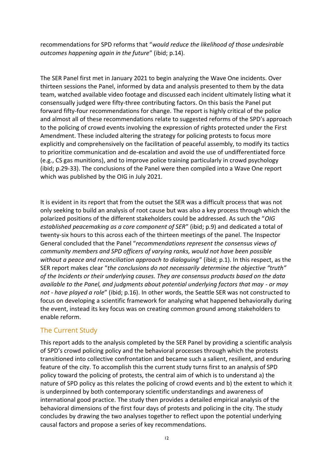recommendations for SPD reforms that "*would reduce the likelihood of those undesirable outcomes happening again in the future*" (ibid; p.14).

The SER Panel first met in January 2021 to begin analyzing the Wave One incidents. Over thirteen sessions the Panel, informed by data and analysis presented to them by the data team, watched available video footage and discussed each incident ultimately listing what it consensually judged were fifty-three contributing factors. On this basis the Panel put forward fifty-four recommendations for change. The report is highly critical of the police and almost all of these recommendations relate to suggested reforms of the SPD's approach to the policing of crowd events involving the expression of rights protected under the First Amendment. These included altering the strategy for policing protests to focus more explicitly and comprehensively on the facilitation of peaceful assembly, to modify its tactics to prioritize communication and de-escalation and avoid the use of undifferentiated force (e.g., CS gas munitions), and to improve police training particularly in crowd psychology (ibid; p.29-33). The conclusions of the Panel were then compiled into a Wave One report which was published by the OIG in July 2021.

It is evident in its report that from the outset the SER was a difficult process that was not only seeking to build an analysis of root cause but was also a key process through which the polarized positions of the different stakeholders could be addressed. As such the "*OIG established peacemaking as a core component of SER*" (ibid; p.9) and dedicated a total of twenty-six hours to this across each of the thirteen meetings of the panel. The Inspector General concluded that the Panel "*recommendations represent the consensus views of community members and SPD officers of varying ranks, would not have been possible without a peace and reconciliation approach to dialoguing*" (ibid; p.1). In this respect, as the SER report makes clear "*the conclusions do not necessarily determine the objective "truth" of the Incidents or their underlying causes. They are consensus products based on the data available to the Panel, and judgments about potential underlying factors that may - or may not - have played a role*" (ibid; p.16). In other words, the Seattle SER was not constructed to focus on developing a scientific framework for analyzing what happened behaviorally during the event, instead its key focus was on creating common ground among stakeholders to enable reform.

## The Current Study

This report adds to the analysis completed by the SER Panel by providing a scientific analysis of SPD's crowd policing policy and the behavioral processes through which the protests transitioned into collective confrontation and became such a salient, resilient, and enduring feature of the city. To accomplish this the current study turns first to an analysis of SPD policy toward the policing of protests, the central aim of which is to understand a) the nature of SPD policy as this relates the policing of crowd events and b) the extent to which it is underpinned by both contemporary scientific understandings and awareness of international good practice. The study then provides a detailed empirical analysis of the behavioral dimensions of the first four days of protests and policing in the city. The study concludes by drawing the two analyses together to reflect upon the potential underlying causal factors and propose a series of key recommendations.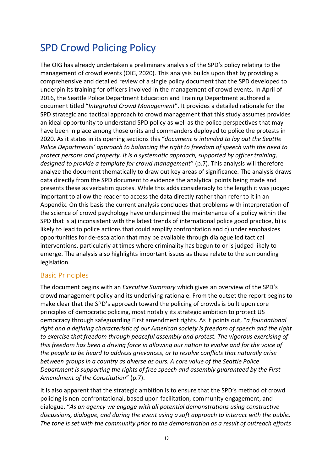# SPD Crowd Policing Policy

The OIG has already undertaken a preliminary analysis of the SPD's policy relating to the management of crowd events (OIG, 2020). This analysis builds upon that by providing a comprehensive and detailed review of a single policy document that the SPD developed to underpin its training for officers involved in the management of crowd events. In April of 2016, the Seattle Police Department Education and Training Department authored a document titled "*Integrated Crowd Management*". It provides a detailed rationale for the SPD strategic and tactical approach to crowd management that this study assumes provides an ideal opportunity to understand SPD policy as well as the police perspectives that may have been in place among those units and commanders deployed to police the protests in 2020. As it states in its opening sections this "*document is intended to lay out the Seattle Police Departments' approach to balancing the right to freedom of speech with the need to protect persons and property. It is a systematic approach, supported by officer training, designed to provide a template for crowd management*" (p.7). This analysis will therefore analyze the document thematically to draw out key areas of significance. The analysis draws data directly from the SPD document to evidence the analytical points being made and presents these as verbatim quotes. While this adds considerably to the length it was judged important to allow the reader to access the data directly rather than refer to it in an Appendix. On this basis the current analysis concludes that problems with interpretation of the science of crowd psychology have underpinned the maintenance of a policy within the SPD that is a) inconsistent with the latest trends of international police good practice, b) is likely to lead to police actions that could amplify confrontation and c) under emphasizes opportunities for de-escalation that may be available through dialogue led tactical interventions, particularly at times where criminality has begun to or is judged likely to emerge. The analysis also highlights important issues as these relate to the surrounding legislation.

## Basic Principles

The document begins with an *Executive Summary* which gives an overview of the SPD's crowd management policy and its underlying rationale. From the outset the report begins to make clear that the SPD's approach toward the policing of crowds is built upon core principles of democratic policing, most notably its strategic ambition to protect US democracy through safeguarding First amendment rights. As it points out, "*a foundational right and a defining characteristic of our American society is freedom of speech and the right to exercise that freedom through peaceful assembly and protest. The vigorous exercising of this freedom has been a driving force in allowing our nation to evolve and for the voice of the people to be heard to address grievances, or to resolve conflicts that naturally arise between groups in a country as diverse as ours. A core value of the Seattle Police Department is supporting the rights of free speech and assembly guaranteed by the First Amendment of the Constitution*" (p.7).

It is also apparent that the strategic ambition is to ensure that the SPD's method of crowd policing is non-confrontational, based upon facilitation, community engagement, and dialogue. "*As an agency we engage with all potential demonstrations using constructive discussions, dialogue, and during the event using a soft approach to interact with the public. The tone is set with the community prior to the demonstration as a result of outreach efforts*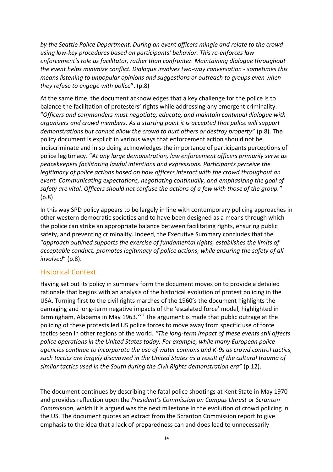*by the Seattle Police Department. During an event officers mingle and relate to the crowd using low-key procedures based on participants' behavior. This re-enforces law enforcement's role as facilitator, rather than confronter. Maintaining dialogue throughout the event helps minimize conflict. Dialogue involves two-way conversation - sometimes this means listening to unpopular opinions and suggestions or outreach to groups even when they refuse to engage with police*". (p.8)

At the same time, the document acknowledges that a key challenge for the police is to balance the facilitation of protesters' rights while addressing any emergent criminality. "*Officers and commanders must negotiate, educate, and maintain continual dialogue with organizers and crowd members. As a starting point it is accepted that police will support demonstrations but cannot allow the crowd to hurt others or destroy property*" (p.8). The policy document is explicit in various ways that enforcement action should not be indiscriminate and in so doing acknowledges the importance of participants perceptions of police legitimacy. "*At any large demonstration, law enforcement officers primarily serve as peacekeepers facilitating lawful intentions and expressions. Participants perceive the legitimacy of police actions based on how officers interact with the crowd throughout an event. Communicating expectations, negotiating continually, and emphasizing the goal of safety are vital. Officers should not confuse the actions of a few with those of the group.*" (p.8)

In this way SPD policy appears to be largely in line with contemporary policing approaches in other western democratic societies and to have been designed as a means through which the police can strike an appropriate balance between facilitating rights, ensuring public safety, and preventing criminality. Indeed, the Executive Summary concludes that the "*approach outlined supports the exercise of fundamental rights, establishes the limits of acceptable conduct, promotes legitimacy of police actions, while ensuring the safety of all involved*" (p.8).

## Historical Context

Having set out its policy in summary form the document moves on to provide a detailed rationale that begins with an analysis of the historical evolution of protest policing in the USA. Turning first to the civil rights marches of the 1960's the document highlights the damaging and long-term negative impacts of the 'escalated force' model, highlighted in Birmingham, Alabama in May 1963.<sup>xxiii</sup> The argument is made that public outrage at the policing of these protests led US police forces to move away from specific use of force tactics seen in other regions of the world. *"The long-term impact of these events still affects police operations in the United States today. For example, while many European police agencies continue to incorporate the use of water cannons and K-9s as crowd control tactics, such tactics are largely disavowed in the United States as a result of the cultural trauma of similar tactics used in the South during the Civil Rights demonstration era"* (p.12).

The document continues by describing the fatal police shootings at Kent State in May 1970 and provides reflection upon the *President's Commission on Campus Unrest* or *Scranton Commission*, which it is argued was the next milestone in the evolution of crowd policing in the US. The document quotes an extract from the Scranton Commission report to give emphasis to the idea that a lack of preparedness can and does lead to unnecessarily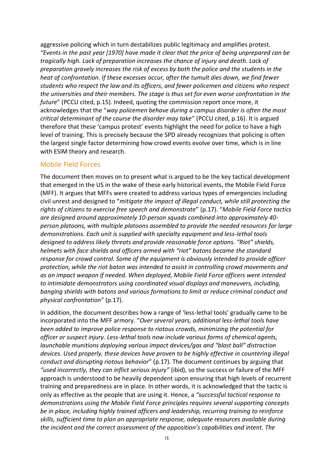aggressive policing which in turn destabilizes public legitimacy and amplifies protest. *"Events in the past year [1970] have made it clear that the price of being unprepared can be tragically high. Lack of preparation increases the chance of injury and death. Lack of preparation gravely increases the risk of excess by both the police and the students in the heat of confrontation. If these excesses occur, after the tumult dies down, we find fewer students who respect the law and its officers, and fewer policemen and citizens who respect the universities and their members. The stage is thus set for even worse confrontation in the future*" (PCCU cited, p.15). Indeed, quoting the commission report once more, it acknowledges that the "*way policemen behave during a campus disorder is often the most critical determinant of the course the disorder may take*" (PCCU cited, p.16). It is argued therefore that these 'campus protest' events highlight the need for police to have a high level of training. This is precisely because the SPD already recognizes that policing is often the largest single factor determining how crowd events evolve over time, which is in line with ESIM theory and research.

#### Mobile Field Forces

The document then moves on to present what is argued to be the key tactical development that emerged in the US in the wake of these early historical events, the Mobile Field Force (MFF). It argues that MFFs were created to address various types of emergencies including civil unrest and designed to "*mitigate the impact of illegal conduct, while still protecting the rights of citizens to exercise free speech and demonstrate*" (p.17). "*Mobile Field Force tactics are designed around approximately 10-person squads combined into approximately 40 person platoons, with multiple platoons assembled to provide the needed resources for large demonstrations. Each unit is supplied with specialty equipment and less-lethal tools designed to address likely threats and provide reasonable force options. "Riot" shields, helmets with face shields and officers armed with "riot" batons became the standard response for crowd control. Some of the equipment is obviously intended to provide officer protection, while the riot baton was intended to assist in controlling crowd movements and as an impact weapon if needed. When deployed, Mobile Field Force officers were intended to intimidate demonstrators using coordinated visual displays and maneuvers, including, banging shields with batons and various formations to limit or reduce criminal conduct and physical confrontation*" (p.17).

In addition, the document describes how a range of 'less-lethal tools' gradually came to be incorporated into the MFF armory. "*Over several years, additional less-lethal tools have been added to improve police response to riotous crowds, minimizing the potential for officer or suspect injury. Less-lethal tools now include various forms of chemical agents, launchable munitions deploying various impact devices/gas and "blast ball" distraction devices. Used properly, these devices have proven to be highly effective in countering illegal conduct and disrupting riotous behavior*" (p.17). The document continues by arguing that *"used incorrectly, they can inflict serious injury"* (ibid), so the success or failure of the MFF approach is understood to be heavily dependent upon ensuring that high levels of recurrent training and preparedness are in place. In other words, it is acknowledged that the tactic is only as effective as the people that are using it. Hence, a *"successful tactical response to demonstrations using the Mobile Field Force principles requires several supporting concepts be in place, including highly trained officers and leadership, recurring training to reinforce skills, sufficient time to plan an appropriate response, adequate resources available during the incident and the correct assessment of the opposition's capabilities and intent. The*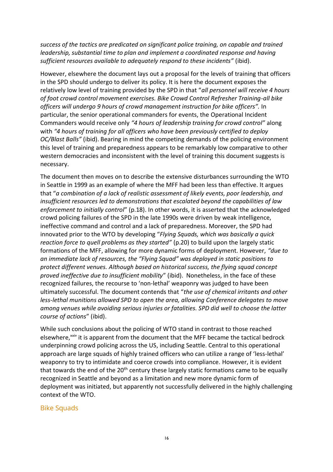*success of the tactics are predicated on significant police training, on capable and trained leadership, substantial time to plan and implement a coordinated response and having sufficient resources available to adequately respond to these incidents"* (ibid).

However, elsewhere the document lays out a proposal for the levels of training that officers in the SPD should undergo to deliver its policy. It is here the document exposes the relatively low level of training provided by the SPD in that "*all personnel will receive 4 hours of foot crowd control movement exercises. Bike Crowd Control Refresher Training-all bike officers will undergo 9 hours of crowd management instruction for bike officers".* In particular, the senior operational commanders for events, the Operational Incident Commanders would receive only *"4 hours of leadership training for crowd control"* along with *"4 hours of training for all officers who have been previously certified to deploy OC/Blast Balls"* (ibid). Bearing in mind the competing demands of the policing environment this level of training and preparedness appears to be remarkably low comparative to other western democracies and inconsistent with the level of training this document suggests is necessary.

The document then moves on to describe the extensive disturbances surrounding the WTO in Seattle in 1999 as an example of where the MFF had been less than effective. It argues that "*a combination of a lack of realistic assessment of likely events, poor leadership, and insufficient resources led to demonstrations that escalated beyond the capabilities of law enforcement to initially control*" (p.18). In other words, it is asserted that the acknowledged crowd policing failures of the SPD in the late 1990s were driven by weak intelligence, ineffective command and control and a lack of preparedness. Moreover, the SPD had innovated prior to the WTO by developing "*Flying Squads, which was basically a quick reaction force to quell problems as they started"* (p.20) to build upon the largely static formations of the MFF, allowing for more dynamic forms of deployment. However, *"due to an immediate lack of resources, the "Flying Squad" was deployed in static positions to protect different venues. Although based on historical success, the flying squad concept proved ineffective due to insufficient mobility*" (ibid). Nonetheless, in the face of these recognized failures, the recourse to 'non-lethal' weaponry was judged to have been ultimately successful. The document contends that "*the use of chemical irritants and other less-lethal munitions allowed SPD to open the area, allowing Conference delegates to move among venues while avoiding serious injuries or fatalities. SPD did well to choose the latter course of actions*" (ibid).

While such conclusions about the policing of WTO stand in contrast to those reached elsewhere,<sup>xxiv</sup> it is apparent from the document that the MFF became the tactical bedrock underpinning crowd policing across the US, including Seattle. Central to this operational approach are large squads of highly trained officers who can utilize a range of 'less-lethal' weaponry to try to intimidate and coerce crowds into compliance. However, it is evident that towards the end of the  $20<sup>th</sup>$  century these largely static formations came to be equally recognized in Seattle and beyond as a limitation and new more dynamic form of deployment was initiated, but apparently not successfully delivered in the highly challenging context of the WTO.

#### Bike Squads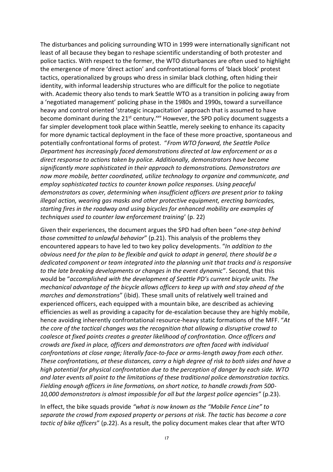The disturbances and policing surrounding WTO in 1999 were internationally significant not least of all because they began to reshape scientific understanding of both protester and police tactics. With respect to the former, the WTO disturbances are often used to highlight the emergence of more 'direct action' and confrontational forms of 'black block' protest tactics, operationalized by groups who dress in similar black clothing, often hiding their identity, with informal leadership structures who are difficult for the police to negotiate with. Academic theory also tends to mark Seattle WTO as a transition in policing away from a 'negotiated management' policing phase in the 1980s and 1990s, toward a surveillance heavy and control oriented 'strategic incapacitation' approach that is assumed to have become dominant during the 21<sup>st</sup> century.<sup>xxv</sup> However, the SPD policy document suggests a far simpler development took place within Seattle, merely seeking to enhance its capacity for more dynamic tactical deployment in the face of these more proactive, spontaneous and potentially confrontational forms of protest. "*From WTO forward, the Seattle Police Department has increasingly faced demonstrations directed at law enforcement or as a direct response to actions taken by police. Additionally, demonstrators have become significantly more sophisticated in their approach to demonstrations. Demonstrators are now more mobile, better coordinated, utilize technology to organize and communicate, and employ sophisticated tactics to counter known police responses. Using peaceful demonstrators as cover, determining when insufficient officers are present prior to taking illegal action, wearing gas masks and other protective equipment, erecting barricades, starting fires in the roadway and using bicycles for enhanced mobility are examples of techniques used to counter law enforcement training*' (p. 22)

Given their experiences, the document argues the SPD had often been "*one-step behind those committed to unlawful behavior*" (p.21). This analysis of the problems they encountered appears to have led to two key policy developments. "*In addition to the obvious need for the plan to be flexible and quick to adapt in general, there should be a dedicated component or team integrated into the planning unit that tracks and is responsive to the late breaking developments or changes in the event dynamic*". Second, that this would be "*accomplished with the development of Seattle PD's current bicycle units. The mechanical advantage of the bicycle allows officers to keep up with and stay ahead of the marches and demonstrations*" (ibid). These small units of relatively well trained and experienced officers, each equipped with a mountain bike, are described as achieving efficiencies as well as providing a capacity for de-escalation because they are highly mobile, hence avoiding inherently confrontational resource-heavy static formations of the MFF. "*At the core of the tactical changes was the recognition that allowing a disruptive crowd to coalesce at fixed points creates a greater likelihood of confrontation. Once officers and crowds are fixed in place, officers and demonstrators are often faced with individual confrontations at close range; literally face-to-face or arms-length away from each other. These confrontations, at these distances, carry a high degree of risk to both sides and have a high potential for physical confrontation due to the perception of danger by each side. WTO and later events all point to the limitations of these traditional police demonstration tactics. Fielding enough officers in line formations, on short notice, to handle crowds from 500- 10,000 demonstrators is almost impossible for all but the largest police agencies"* (p.23).

In effect, the bike squads provide *"what is now known as the "Mobile Fence Line" to separate the crowd from exposed property or persons at risk. The tactic has become a core tactic of bike officers*" (p.22). As a result, the policy document makes clear that after WTO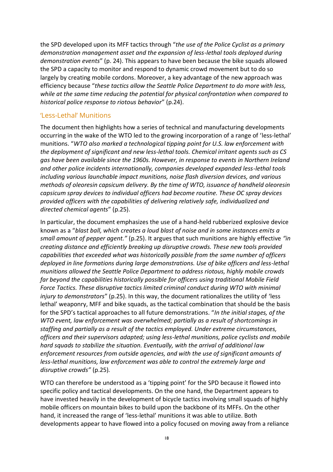the SPD developed upon its MFF tactics through "*the use of the Police Cyclist as a primary demonstration management asset and the expansion of less-lethal tools deployed during demonstration events*" (p. 24). This appears to have been because the bike squads allowed the SPD a capacity to monitor and respond to dynamic crowd movement but to do so largely by creating mobile cordons. Moreover, a key advantage of the new approach was efficiency because "*these tactics allow the Seattle Police Department to do more with less, while at the same time reducing the potential for physical confrontation when compared to historical police response to riotous behavior*" (p.24).

### 'Less-Lethal' Munitions

The document then highlights how a series of technical and manufacturing developments occurring in the wake of the WTO led to the growing incorporation of a range of 'less-lethal' munitions. "*WTO also marked a technological tipping point for U.S. law enforcement with the deployment of significant and new less-lethal tools. Chemical irritant agents such as CS gas have been available since the 1960s. However, in response to events in Northern Ireland and other police incidents internationally, companies developed expanded less-lethal tools including various launchable impact munitions, noise flash diversion devices, and various methods of oleoresin capsicum delivery. By the time of WTO, issuance of handheld oleoresin capsicum spray devices to individual officers had become routine. These OC spray devices provided officers with the capabilities of delivering relatively safe, individualized and directed chemical agents*" (p.25).

In particular, the document emphasizes the use of a hand-held rubberized explosive device known as a "*blast ball, which creates a loud blast of noise and in some instances emits a small amount of pepper agent."* (p.25). It argues that such munitions are highly effective *"in creating distance and efficiently breaking up disruptive crowds. These new tools provided capabilities that exceeded what was historically possible from the same number of officers deployed in line formations during large demonstrations. Use of bike officers and less-lethal munitions allowed the Seattle Police Department to address riotous, highly mobile crowds far beyond the capabilities historically possible for officers using traditional Mobile Field Force Tactics. These disruptive tactics limited criminal conduct during WTO with minimal injury to demonstrators*" (p.25). In this way, the document rationalizes the utility of 'less lethal' weaponry, MFF and bike squads, as the tactical combination that should be the basis for the SPD's tactical approaches to all future demonstrations. "*In the initial stages, of the WTO event, law enforcement was overwhelmed; partially as a result of shortcomings in staffing and partially as a result of the tactics employed. Under extreme circumstances, officers and their supervisors adapted; using less-lethal munitions, police cyclists and mobile hard squads to stabilize the situation. Eventually, with the arrival of additional law enforcement resources from outside agencies, and with the use of significant amounts of less-lethal munitions, law enforcement was able to control the extremely large and disruptive crowds"* (p.25)*.* 

WTO can therefore be understood as a 'tipping point' for the SPD because it flowed into specific policy and tactical developments. On the one hand, the Department appears to have invested heavily in the development of bicycle tactics involving small squads of highly mobile officers on mountain bikes to build upon the backbone of its MFFs. On the other hand, it increased the range of 'less-lethal' munitions it was able to utilize. Both developments appear to have flowed into a policy focused on moving away from a reliance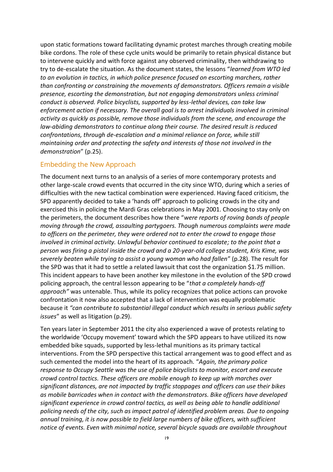upon static formations toward facilitating dynamic protest marches through creating mobile bike cordons. The role of these cycle units would be primarily to retain physical distance but to intervene quickly and with force against any observed criminality, then withdrawing to try to de-escalate the situation. As the document states, the lessons "*learned from WTO led to an evolution in tactics, in which police presence focused on escorting marchers, rather than confronting or constraining the movements of demonstrators. Officers remain a visible presence, escorting the demonstration, but not engaging demonstrators unless criminal conduct is observed. Police bicyclists, supported by less-lethal devices, can take law enforcement action if necessary. The overall goal is to arrest individuals involved in criminal activity as quickly as possible, remove those individuals from the scene, and encourage the law-abiding demonstrators to continue along their course. The desired result is reduced confrontations, through de-escalation and a minimal reliance on force, while still maintaining order and protecting the safety and interests of those not involved in the demonstration*" (p.25).

### Embedding the New Approach

The document next turns to an analysis of a series of more contemporary protests and other large-scale crowd events that occurred in the city since WTO, during which a series of difficulties with the new tactical combination were experienced. Having faced criticism, the SPD apparently decided to take a 'hands off' approach to policing crowds in the city and exercised this in policing the Mardi Gras celebrations in May 2001. Choosing to stay only on the perimeters, the document describes how there "*were reports of roving bands of people moving through the crowd, assaulting partygoers. Though numerous complaints were made to officers on the perimeter, they were ordered not to enter the crowd to engage those involved in criminal activity. Unlawful behavior continued to escalate; to the point that a person was firing a pistol inside the crowd and a 20-year-old college student, Kris Kime, was severely beaten while trying to assist a young woman who had fallen*" (p.28). The result for the SPD was that it had to settle a related lawsuit that cost the organization \$1.75 million. This incident appears to have been another key milestone in the evolution of the SPD crowd policing approach, the central lesson appearing to be "*that a completely hands-off approach"* was untenable. Thus, while its policy recognizes that police actions can provoke confrontation it now also accepted that a lack of intervention was equally problematic because it *"can contribute to substantial illegal conduct which results in serious public safety issues*" as well as litigation (p.29).

Ten years later in September 2011 the city also experienced a wave of protests relating to the worldwide 'Occupy movement' toward which the SPD appears to have utilized its now embedded bike squads, supported by less-lethal munitions as its primary tactical interventions. From the SPD perspective this tactical arrangement was to good effect and as such cemented the model into the heart of its approach. "*Again, the primary police response to Occupy Seattle was the use of police bicyclists to monitor, escort and execute crowd control tactics. These officers are mobile enough to keep up with marches over significant distances, are not impacted by traffic stoppages and officers can use their bikes as mobile barricades when in contact with the demonstrators. Bike officers have developed significant experience in crowd control tactics, as well as being able to handle additional policing needs of the city, such as impact patrol of identified problem areas. Due to ongoing annual training, it is now possible to field large numbers of bike officers, with sufficient notice of events. Even with minimal notice, several bicycle squads are available throughout*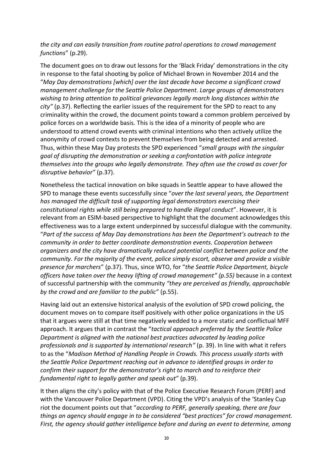### *the city and can easily transition from routine patrol operations to crowd management functions*" (p.29).

The document goes on to draw out lessons for the 'Black Friday' demonstrations in the city in response to the fatal shooting by police of Michael Brown in November 2014 and the "*May Day demonstrations [which] over the last decade have become a significant crowd management challenge for the Seattle Police Department. Large groups of demonstrators wishing to bring attention to political grievances legally march long distances within the city"* (p.37). Reflecting the earlier issues of the requirement for the SPD to react to any criminality within the crowd, the document points toward a common problem perceived by police forces on a worldwide basis. This is the idea of a minority of people who are understood to attend crowd events with criminal intentions who then actively utilize the anonymity of crowd contexts to prevent themselves from being detected and arrested. Thus, within these May Day protests the SPD experienced "*small groups with the singular goal of disrupting the demonstration or seeking a confrontation with police integrate themselves into the groups who legally demonstrate. They often use the crowd as cover for disruptive behavior"* (p.37).

Nonetheless the tactical innovation on bike squads in Seattle appear to have allowed the SPD to manage these events successfully since "*over the last several years, the Department has managed the difficult task of supporting legal demonstrators exercising their constitutional rights while still being prepared to handle illegal conduct*". However, it is relevant from an ESIM-based perspective to highlight that the document acknowledges this effectiveness was to a large extent underpinned by successful dialogue with the community. "*Part of the success of May Day demonstrations has been the Department's outreach to the community in order to better coordinate demonstration events. Cooperation between organizers and the city have dramatically reduced potential conflict between police and the community. For the majority of the event, police simply escort, observe and provide a visible presence for marchers*" (p.37). Thus, since WTO, for "*the Seattle Police Department, bicycle officers have taken over the heavy lifting of crowd management" (p.55)* because in a context of successful partnership with the community *"they are perceived as friendly, approachable by the crowd and are familiar to the public*" (p.55).

Having laid out an extensive historical analysis of the evolution of SPD crowd policing, the document moves on to compare itself positively with other police organizations in the US that it argues were still at that time negatively wedded to a more static and conflictual MFF approach. It argues that in contrast the "*tactical approach preferred by the Seattle Police Department is aligned with the national best practices advocated by leading police professionals and is supported by international research"* (p. 39). In line with what it refers to as the "*Madison Method of Handling People in Crowds. This process usually starts with the Seattle Police Department reaching out in advance to identified groups in order to confirm their support for the demonstrator's right to march and to reinforce their fundamental right to legally gather and speak out*" (p.39).

It then aligns the city's policy with that of the Police Executive Research Forum (PERF) and with the Vancouver Police Department (VPD). Citing the VPD's analysis of the 'Stanley Cup riot the document points out that "*according to PERF, generally speaking, there are four things an agency should engage in to be considered "best practices" for crowd management. First, the agency should gather intelligence before and during an event to determine, among*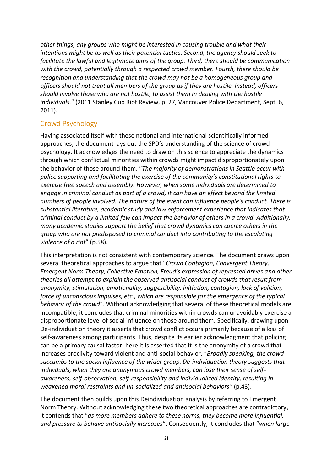*other things, any groups who might be interested in causing trouble and what their intentions might be as well as their potential tactics. Second, the agency should seek to facilitate the lawful and legitimate aims of the group. Third, there should be communication with the crowd, potentially through a respected crowd member. Fourth, there should be recognition and understanding that the crowd may not be a homogeneous group and officers should not treat all members of the group as if they are hostile. Instead, officers should involve those who are not hostile, to assist them in dealing with the hostile individuals.*" (2011 Stanley Cup Riot Review, p. 27, Vancouver Police Department, Sept. 6, 2011).

## Crowd Psychology

Having associated itself with these national and international scientifically informed approaches, the document lays out the SPD's understanding of the science of crowd psychology. It acknowledges the need to draw on this science to appreciate the dynamics through which conflictual minorities within crowds might impact disproportionately upon the behavior of those around them. "*The majority of demonstrations in Seattle occur with police supporting and facilitating the exercise of the community's constitutional rights to exercise free speech and assembly. However, when some individuals are determined to engage in criminal conduct as part of a crowd, it can have an effect beyond the limited numbers of people involved. The nature of the event can influence people's conduct. There is substantial literature, academic study and law enforcement experience that indicates that criminal conduct by a limited few can impact the behavior of others in a crowd. Additionally, many academic studies support the belief that crowd dynamics can coerce others in the group who are not predisposed to criminal conduct into contributing to the escalating violence of a riot*" (p.58).

This interpretation is not consistent with contemporary science. The document draws upon several theoretical approaches to argue that "*Crowd Contagion, Convergent Theory, Emergent Norm Theory, Collective Emotion, Freud's expression of repressed drives and other theories all attempt to explain the observed antisocial conduct of crowds that result from anonymity, stimulation, emotionality, suggestibility, initiation, contagion, lack of volition, force of unconscious impulses, etc., which are responsible for the emergence of the typical behavior of the crowd*". Without acknowledging that several of these theoretical models are incompatible, it concludes that criminal minorities within crowds can unavoidably exercise a disproportionate level of social influence on those around them. Specifically, drawing upon De-individuation theory it asserts that crowd conflict occurs primarily because of a loss of self-awareness among participants. Thus, despite its earlier acknowledgment that policing can be a primary causal factor, here it is asserted that it is the anonymity of a crowd that increases proclivity toward violent and anti-social behavior. "*Broadly speaking, the crowd succumbs to the social influence of the wider group. De-individuation theory suggests that individuals, when they are anonymous crowd members, can lose their sense of selfawareness, self-observation, self-responsibility and individualized identity, resulting in weakened moral restraints and un-socialized and antisocial behaviors"* (p.43).

The document then builds upon this Deindividuation analysis by referring to Emergent Norm Theory. Without acknowledging these two theoretical approaches are contradictory, it contends that "*as more members adhere to these norms, they become more influential, and pressure to behave antisocially increases*". Consequently, it concludes that "*when large*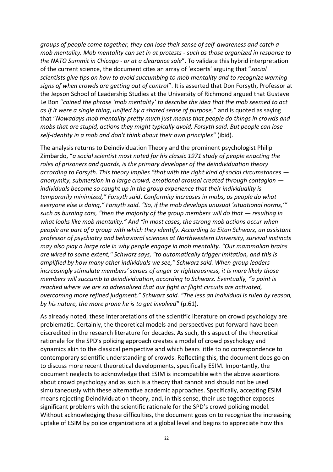*groups of people come together, they can lose their sense of self-awareness and catch a mob mentality. Mob mentality can set in at protests - such as those organized in response to the NATO Summit in Chicago - or at a clearance sale*". To validate this hybrid interpretation of the current science, the document cites an array of 'experts' arguing that "*social scientists give tips on how to avoid succumbing to mob mentality and to recognize warning signs of when crowds are getting out of control*". It is asserted that Don Forsyth, Professor at the Jepson School of Leadership Studies at the University of Richmond argued that Gustave Le Bon "*coined the phrase 'mob mentality' to describe the idea that the mob seemed to act as if it were a single thing, unified by a shared sense of purpose,"* and is quoted as saying that "*Nowadays mob mentality pretty much just means that people do things in crowds and mobs that are stupid, actions they might typically avoid, Forsyth said. But people can lose self-identity in a mob and don't think about their own principles"* (ibid).

The analysis returns to Deindividuation Theory and the prominent psychologist Philip Zimbardo, "*a social scientist most noted for his classic 1971 study of people enacting the roles of prisoners and guards, is the primary developer of the deindividuation theory according to Forsyth. This theory implies "that with the right kind of social circumstances anonymity, submersion in a large crowd, emotional arousal created through contagion individuals become so caught up in the group experience that their individuality is temporarily minimized," Forsyth said*. *Conformity increases in mobs, as people do what everyone else is doing," Forsyth said. "So, if the mob develops unusual 'situational norms,'" such as burning cars, "then the majority of the group members will do that — resulting in what looks like mob mentality." And "in most cases, the strong mob actions occur when people are part of a group with which they identify. According to Eitan Schwarz, an assistant professor of psychiatry and behavioral sciences at Northwestern University, survival instincts may also play a large role in why people engage in mob mentality. "Our mammalian brains are wired to some extent," Schwarz says, "to automatically trigger imitation, and this is amplified by how many other individuals we see," Schwarz said. When group leaders increasingly stimulate members' senses of anger or righteousness, it is more likely those members will succumb to deindividuation, according to Schwarz. Eventually, "a point is reached where we are so adrenalized that our fight or flight circuits are activated, overcoming more refined judgment," Schwarz said. "The less an individual is ruled by reason, by his nature, the more prone he is to get involved*" (p.61).

As already noted, these interpretations of the scientific literature on crowd psychology are problematic. Certainly, the theoretical models and perspectives put forward have been discredited in the research literature for decades. As such, this aspect of the theoretical rationale for the SPD's policing approach creates a model of crowd psychology and dynamics akin to the classical perspective and which bears little to no correspondence to contemporary scientific understanding of crowds. Reflecting this, the document does go on to discuss more recent theoretical developments, specifically ESIM. Importantly, the document neglects to acknowledge that ESIM is incompatible with the above assertions about crowd psychology and as such is a theory that cannot and should not be used simultaneously with these alternative academic approaches. Specifically, accepting ESIM means rejecting Deindividuation theory, and, in this sense, their use together exposes significant problems with the scientific rationale for the SPD's crowd policing model. Without acknowledging these difficulties, the document goes on to recognize the increasing uptake of ESIM by police organizations at a global level and begins to appreciate how this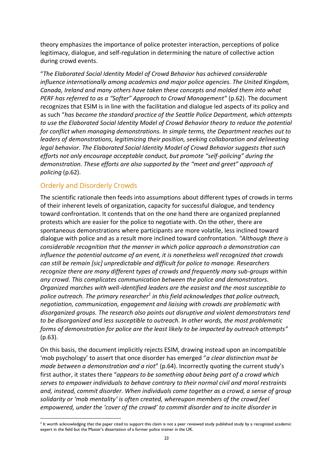theory emphasizes the importance of police protester interaction, perceptions of police legitimacy, dialogue, and self-regulation in determining the nature of collective action during crowd events.

"*The Elaborated Social Identity Model of Crowd Behavior has achieved considerable influence internationally among academics and major police agencies. The United Kingdom, Canada, Ireland and many others have taken these concepts and molded them into what PERF has referred to as a "Softer" Approach to Crowd Management"* (p.62). The document recognizes that ESIM is in line with the facilitation and dialogue led aspects of its policy and as such "*has become the standard practice of the Seattle Police Department, which attempts to use the Elaborated Social Identity Model of Crowd Behavior theory to reduce the potential for conflict when managing demonstrations. In simple terms, the Department reaches out to leaders of demonstrations, legitimizing their position, seeking collaboration and delineating legal behavior. The Elaborated Social Identity Model of Crowd Behavior suggests that such efforts not only encourage acceptable conduct, but promote "self-policing" during the demonstration. These efforts are also supported by the "meet and greet" approach of policing* (p.62).

## Orderly and Disorderly Crowds

The scientific rationale then feeds into assumptions about different types of crowds in terms of their inherent levels of organization, capacity for successful dialogue, and tendency toward confrontation. It contends that on the one hand there are organized preplanned protests which are easier for the police to negotiate with. On the other, there are spontaneous demonstrations where participants are more volatile, less inclined toward dialogue with police and as a result more inclined toward confrontation. *"Although there is considerable recognition that the manner in which police approach a demonstration can influence the potential outcome of an event, it is nonetheless well recognized that crowds can still be remain [sic] unpredictable and difficult for police to manage. Researchers recognize there are many different types of crowds and frequently many sub-groups within any crowd. This complicates communication between the police and demonstrators. Organized marches with well-identified leaders are the easiest and the most susceptible to police outreach. The primary researcher<sup>2</sup> in this field acknowledges that police outreach, negotiation, communication, engagement and liaising with crowds are problematic with disorganized groups. The research also points out disruptive and violent demonstrators tend to be disorganized and less susceptible to outreach. In other words, the most problematic forms of demonstration for police are the least likely to be impacted by outreach attempts"*  (p.63).

On this basis, the document implicitly rejects ESIM, drawing instead upon an incompatible 'mob psychology' to assert that once disorder has emerged "*a clear distinction must be made between a demonstration and a riot*" (p.64). Incorrectly quoting the current study's first author, it states there "*appears to be something about being part of a crowd which serves to empower individuals to behave contrary to their normal civil and moral restraints and, instead, commit disorder. When individuals come together as a crowd, a sense of group solidarity or 'mob mentality' is often created, whereupon members of the crowd feel empowered, under the 'cover of the crowd' to commit disorder and to incite disorder in* 

 $^2$  It worth acknowledging that the paper cited to support this claim is not a peer reviewed study published study by a recognized academic expert in the field but the Master's dissertation of a former police trainer in the UK.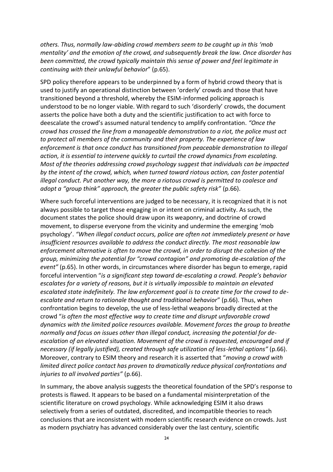*others. Thus, normally law-abiding crowd members seem to be caught up in this 'mob mentality' and the emotion of the crowd, and subsequently break the law. Once disorder has been committed, the crowd typically maintain this sense of power and feel legitimate in continuing with their unlawful behavior*" (p.65).

SPD policy therefore appears to be underpinned by a form of hybrid crowd theory that is used to justify an operational distinction between 'orderly' crowds and those that have transitioned beyond a threshold, whereby the ESIM-informed policing approach is understood to be no longer viable. With regard to such 'disorderly' crowds, the document asserts the police have both a duty and the scientific justification to act with force to deescalate the crowd's assumed natural tendency to amplify confrontation. *"Once the crowd has crossed the line from a manageable demonstration to a riot, the police must act to protect all members of the community and their property. The experience of law enforcement is that once conduct has transitioned from peaceable demonstration to illegal action, it is essential to intervene quickly to curtail the crowd dynamics from escalating. Most of the theories addressing crowd psychology suggest that individuals can be impacted by the intent of the crowd, which, when turned toward riotous action, can foster potential illegal conduct. Put another way, the more a riotous crowd is permitted to coalesce and adopt a "group think" approach, the greater the public safety risk"* (p.66).

Where such forceful interventions are judged to be necessary, it is recognized that it is not always possible to target those engaging in or intent on criminal activity. As such, the document states the police should draw upon its weaponry, and doctrine of crowd movement, to disperse everyone from the vicinity and undermine the emerging 'mob psychology'. *"When illegal conduct occurs, police are often not immediately present or have insufficient resources available to address the conduct directly. The most reasonable law enforcement alternative is often to move the crowd, in order to disrupt the cohesion of the group, minimizing the potential for "crowd contagion" and promoting de-escalation of the event"* (p.65). In other words, in circumstances where disorder has begun to emerge, rapid forceful intervention "*is a significant step toward de-escalating a crowd. People's behavior escalates for a variety of reasons, but it is virtually impossible to maintain an elevated escalated state indefinitely. The law enforcement goal is to create time for the crowd to deescalate and return to rationale thought and traditional behavior*" (p.66). Thus, when confrontation begins to develop, the use of less-lethal weapons broadly directed at the crowd "*is often the most effective way to create time and disrupt unfavorable crowd dynamics with the limited police resources available. Movement forces the group to breathe normally and focus on issues other than illegal conduct, increasing the potential for deescalation of an elevated situation. Movement of the crowd is requested, encouraged and if necessary (if legally justified), created through safe utilization of less-lethal options"* (p.66). Moreover, contrary to ESIM theory and research it is asserted that "*moving a crowd with limited direct police contact has proven to dramatically reduce physical confrontations and injuries to all involved parties"* (p.66).

In summary, the above analysis suggests the theoretical foundation of the SPD's response to protests is flawed. It appears to be based on a fundamental misinterpretation of the scientific literature on crowd psychology. While acknowledging ESIM it also draws selectively from a series of outdated, discredited, and incompatible theories to reach conclusions that are inconsistent with modern scientific research evidence on crowds. Just as modern psychiatry has advanced considerably over the last century, scientific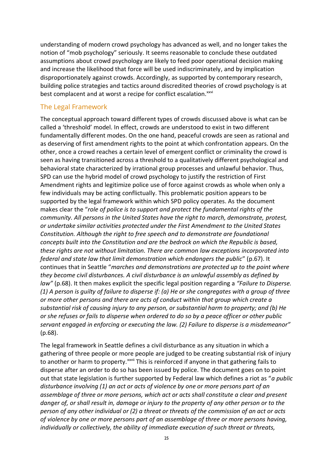understanding of modern crowd psychology has advanced as well, and no longer takes the notion of "mob psychology" seriously. It seems reasonable to conclude these outdated assumptions about crowd psychology are likely to feed poor operational decision making and increase the likelihood that force will be used indiscriminately, and by implication disproportionately against crowds. Accordingly, as supported by contemporary research, building police strategies and tactics around discredited theories of crowd psychology is at best complacent and at worst a recipe for conflict escalation.<sup>xxvi</sup>

#### The Legal Framework

The conceptual approach toward different types of crowds discussed above is what can be called a 'threshold' model. In effect, crowds are understood to exist in two different fundamentally different modes. On the one hand, peaceful crowds are seen as rational and as deserving of first amendment rights to the point at which confrontation appears. On the other, once a crowd reaches a certain level of emergent conflict or criminality the crowd is seen as having transitioned across a threshold to a qualitatively different psychological and behavioral state characterized by irrational group processes and unlawful behavior. Thus, SPD can use the hybrid model of crowd psychology to justify the restriction of First Amendment rights and legitimize police use of force against crowds as whole when only a few individuals may be acting conflictually. This problematic position appears to be supported by the legal framework within which SPD policy operates. As the document makes clear the "*role of police is to support and protect the fundamental rights of the community. All persons in the United States have the right to march, demonstrate, protest, or undertake similar activities protected under the First Amendment to the United States Constitution. Although the right to free speech and to demonstrate are foundational concepts built into the Constitution and are the bedrock on which the Republic is based, these rights are not without limitation. There are common law exceptions incorporated into federal and state law that limit demonstration which endangers the public*" (p.67). It continues that in Seattle "*marches and demonstrations are protected up to the point where they become civil disturbances. A civil disturbance is an unlawful assembly as defined by law"* (p.68). It then makes explicit the specific legal position regarding a *"Failure to Disperse. (1) A person is guilty of failure to disperse if: (a) He or she congregates with a group of three or more other persons and there are acts of conduct within that group which create a substantial risk of causing injury to any person, or substantial harm to property; and (b) He or she refuses or fails to disperse when ordered to do so by a peace officer or other public servant engaged in enforcing or executing the law. (2) Failure to disperse is a misdemeanor"*  (p.68).

The legal framework in Seattle defines a civil disturbance as any situation in which a gathering of three people or more people are judged to be creating substantial risk of injury to another or harm to property.<sup>xxvii</sup> This is reinforced if anyone in that gathering fails to disperse after an order to do so has been issued by police. The document goes on to point out that state legislation is further supported by Federal law which defines a riot as "*a public disturbance involving (1) an act or acts of violence by one or more persons part of an assemblage of three or more persons, which act or acts shall constitute a clear and present danger of, or shall result in, damage or injury to the property of any other person or to the person of any other individual or (2) a threat or threats of the commission of an act or acts of violence by one or more persons part of an assemblage of three or more persons having, individually or collectively, the ability of immediate execution of such threat or threats,*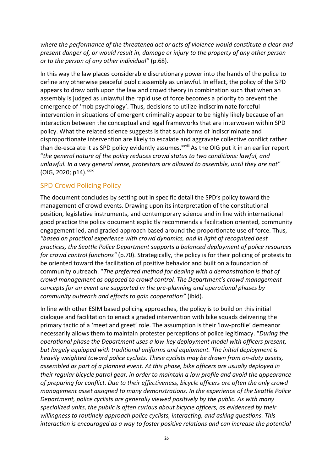*where the performance of the threatened act or acts of violence would constitute a clear and present danger of, or would result in, damage or injury to the property of any other person or to the person of any other individual"* (p.68).

In this way the law places considerable discretionary power into the hands of the police to define any otherwise peaceful public assembly as unlawful. In effect, the policy of the SPD appears to draw both upon the law and crowd theory in combination such that when an assembly is judged as unlawful the rapid use of force becomes a priority to prevent the emergence of 'mob psychology'. Thus, decisions to utilize indiscriminate forceful intervention in situations of emergent criminality appear to be highly likely because of an interaction between the conceptual and legal frameworks that are interwoven within SPD policy. What the related science suggests is that such forms of indiscriminate and disproportionate intervention are likely to escalate and aggravate collective conflict rather than de-escalate it as SPD policy evidently assumes.<sup>xxviii</sup> As the OIG put it in an earlier report "*the general nature of the policy reduces crowd status to two conditions: lawful, and unlawful. In a very general sense, protestors are allowed to assemble, until they are not*"  $($ OIG, 2020; p14). $^{xxix}$ 

## SPD Crowd Policing Policy

The document concludes by setting out in specific detail the SPD's policy toward the management of crowd events. Drawing upon its interpretation of the constitutional position, legislative instruments, and contemporary science and in line with international good practice the policy document explicitly recommends a facilitation oriented, community engagement led, and graded approach based around the proportionate use of force. Thus, *"based on practical experience with crowd dynamics, and in light of recognized best practices, the Seattle Police Department supports a balanced deployment of police resources for crowd control functions"* (p.70). Strategically, the policy is for their policing of protests to be oriented toward the facilitation of positive behavior and built on a foundation of community outreach. "*The preferred method for dealing with a demonstration is that of crowd management as opposed to crowd control. The Department's crowd management concepts for an event are supported in the pre-planning and operational phases by community outreach and efforts to gain cooperation"* (ibid)*.* 

In line with other ESIM based policing approaches, the policy is to build on this initial dialogue and facilitation to enact a graded intervention with bike squads delivering the primary tactic of a 'meet and greet' role. The assumption is their 'low-profile' demeanor necessarily allows them to maintain protester perceptions of police legitimacy. "*During the operational phase the Department uses a low-key deployment model with officers present, but largely equipped with traditional uniforms and equipment. The initial deployment is heavily weighted toward police cyclists. These cyclists may be drawn from on-duty assets, assembled as part of a planned event. At this phase, bike officers are usually deployed in their regular bicycle patrol gear, in order to maintain a low profile and avoid the appearance of preparing for conflict. Due to their effectiveness, bicycle officers are often the only crowd management asset assigned to many demonstrations. In the experience of the Seattle Police Department, police cyclists are generally viewed positively by the public. As with many specialized units, the public is often curious about bicycle officers, as evidenced by their willingness to routinely approach police cyclists, interacting, and asking questions. This interaction is encouraged as a way to foster positive relations and can increase the potential*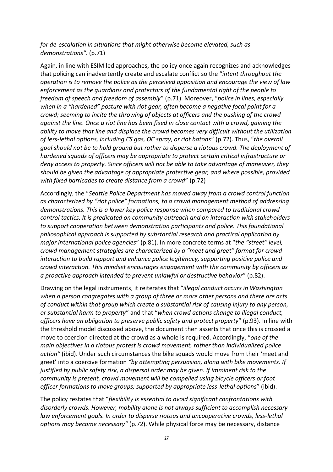### *for de-escalation in situations that might otherwise become elevated, such as demonstrations".* (p.71)

Again, in line with ESIM led approaches, the policy once again recognizes and acknowledges that policing can inadvertently create and escalate conflict so the "*intent throughout the operation is to remove the police as the perceived opposition and encourage the view of law enforcement as the guardians and protectors of the fundamental right of the people to freedom of speech and freedom of assembly*" (p.71). Moreover, "*police in lines, especially when in a "hardened" posture with riot gear, often become a negative focal point for a crowd; seeming to incite the throwing of objects at officers and the pushing of the crowd against the line. Once a riot line has been fixed in close contact with a crowd, gaining the ability to move that line and displace the crowd becomes very difficult without the utilization of less-lethal options, including CS gas, OC spray, or riot batons*" (p.72). Thus, "*the overall goal should not be to hold ground but rather to disperse a riotous crowd. The deployment of hardened squads of officers may be appropriate to protect certain critical infrastructure or deny access to property. Since officers will not be able to take advantage of maneuver, they should be given the advantage of appropriate protective gear, and where possible, provided with fixed barricades to create distance from a crowd*" (p.72)

Accordingly, the "*Seattle Police Department has moved away from a crowd control function as characterized by "riot police" formations, to a crowd management method of addressing demonstrations. This is a lower key police response when compared to traditional crowd control tactics. It is predicated on community outreach and on interaction with stakeholders to support cooperation between demonstration participants and police. This foundational philosophical approach is supported by substantial research and practical application by major international police agencies*" (p.81). In more concrete terms at "*the "street" level, crowd management strategies are characterized by a "meet and greet" format for crowd interaction to build rapport and enhance police legitimacy, supporting positive police and crowd interaction. This mindset encourages engagement with the community by officers as a proactive approach intended to prevent unlawful or destructive behavior*" (p.82).

Drawing on the legal instruments, it reiterates that "*illegal conduct occurs in Washington when a person congregates with a group of three or more other persons and there are acts of conduct within that group which create a substantial risk of causing injury to any person, or substantial harm to property*" and that "*when crowd actions change to illegal conduct, officers have an obligation to preserve public safety and protect property*" (p.93). In line with the threshold model discussed above, the document then asserts that once this is crossed a move to coercion directed at the crowd as a whole is required. Accordingly, "*one of the main objectives in a riotous protest is crowd movement, rather than individualized police action"* (ibid). Under such circumstances the bike squads would move from their 'meet and greet' into a coercive formation *"by attempting persuasion, along with bike movements. If justified by public safety risk, a dispersal order may be given. If imminent risk to the community is present, crowd movement will be compelled using bicycle officers or foot officer formations to move groups; supported by appropriate less-lethal options*" (ibid).

The policy restates that "*flexibility is essential to avoid significant confrontations with disorderly crowds. However, mobility alone is not always sufficient to accomplish necessary law enforcement goals. In order to disperse riotous and uncooperative crowds, less-lethal options may become necessary"* (p.72). While physical force may be necessary, distance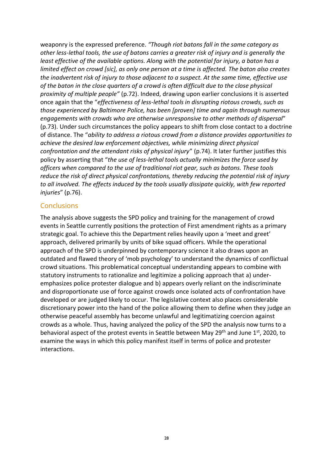weaponry is the expressed preference. *"Though riot batons fall in the same category as other less-lethal tools, the use of batons carries a greater risk of injury and is generally the least effective of the available options. Along with the potential for injury, a baton has a limited effect on crowd [sic], as only one person at a time is affected. The baton also creates the inadvertent risk of injury to those adjacent to a suspect. At the same time, effective use of the baton in the close quarters of a crowd is often difficult due to the close physical proximity of multiple people"* (p.72). Indeed, drawing upon earlier conclusions it is asserted once again that the "*effectiveness of less-lethal tools in disrupting riotous crowds, such as those experienced by Baltimore Police, has been [proven] time and again through numerous engagements with crowds who are otherwise unresponsive to other methods of dispersal*" (p.73). Under such circumstances the policy appears to shift from close contact to a doctrine of distance. The "*ability to address a riotous crowd from a distance provides opportunities to achieve the desired law enforcement objectives, while minimizing direct physical confrontation and the attendant risks of physical injury*" (p.74). It later further justifies this policy by asserting that "*the use of less-lethal tools actually minimizes the force used by officers when compared to the use of traditional riot gear, such as batons. These tools reduce the risk of direct physical confrontations, thereby reducing the potential risk of injury to all involved. The effects induced by the tools usually dissipate quickly, with few reported injuries*" (p.76).

### **Conclusions**

The analysis above suggests the SPD policy and training for the management of crowd events in Seattle currently positions the protection of First amendment rights as a primary strategic goal. To achieve this the Department relies heavily upon a 'meet and greet' approach, delivered primarily by units of bike squad officers. While the operational approach of the SPD is underpinned by contemporary science it also draws upon an outdated and flawed theory of 'mob psychology' to understand the dynamics of conflictual crowd situations. This problematical conceptual understanding appears to combine with statutory instruments to rationalize and legitimize a policing approach that a) underemphasizes police protester dialogue and b) appears overly reliant on the indiscriminate and disproportionate use of force against crowds once isolated acts of confrontation have developed or are judged likely to occur. The legislative context also places considerable discretionary power into the hand of the police allowing them to define when they judge an otherwise peaceful assembly has become unlawful and legitimatizing coercion against crowds as a whole. Thus, having analyzed the policy of the SPD the analysis now turns to a behavioral aspect of the protest events in Seattle between May 29<sup>th</sup> and June 1<sup>st</sup>, 2020, to examine the ways in which this policy manifest itself in terms of police and protester interactions.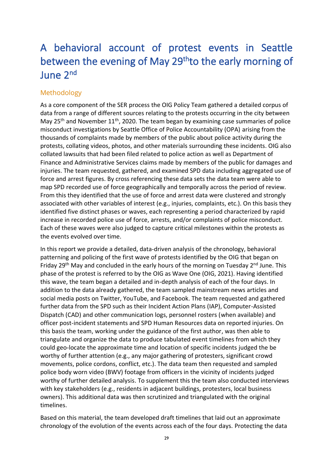# A behavioral account of protest events in Seattle between the evening of May 29<sup>th</sup>to the early morning of June 2<sup>nd</sup>

## Methodology

As a core component of the SER process the OIG Policy Team gathered a detailed corpus of data from a range of different sources relating to the protests occurring in the city between May  $25<sup>th</sup>$  and November  $11<sup>th</sup>$ , 2020. The team began by examining case summaries of police misconduct investigations by Seattle Office of Police Accountability (OPA) arising from the thousands of complaints made by members of the public about police activity during the protests, collating videos, photos, and other materials surrounding these incidents. OIG also collated lawsuits that had been filed related to police action as well as Department of Finance and Administrative Services claims made by members of the public for damages and injuries. The team requested, gathered, and examined SPD data including aggregated use of force and arrest figures. By cross referencing these data sets the data team were able to map SPD recorded use of force geographically and temporally across the period of review. From this they identified that the use of force and arrest data were clustered and strongly associated with other variables of interest (e.g., injuries, complaints, etc.). On this basis they identified five distinct phases or waves, each representing a period characterized by rapid increase in recorded police use of force, arrests, and/or complaints of police misconduct. Each of these waves were also judged to capture critical milestones within the protests as the events evolved over time.

In this report we provide a detailed, data-driven analysis of the chronology, behavioral patterning and policing of the first wave of protests identified by the OIG that began on Friday 29<sup>th</sup> May and concluded in the early hours of the morning on Tuesday 2<sup>nd</sup> June. This phase of the protest is referred to by the OIG as Wave One (OIG, 2021). Having identified this wave, the team began a detailed and in-depth analysis of each of the four days. In addition to the data already gathered, the team sampled mainstream news articles and social media posts on Twitter, YouTube, and Facebook. The team requested and gathered further data from the SPD such as their Incident Action Plans (IAP), Computer-Assisted Dispatch (CAD) and other communication logs, personnel rosters (when available) and officer post-incident statements and SPD Human Resources data on reported injuries. On this basis the team, working under the guidance of the first author, was then able to triangulate and organize the data to produce tabulated event timelines from which they could geo-locate the approximate time and location of specific incidents judged the be worthy of further attention (e.g., any major gathering of protesters, significant crowd movements, police cordons, conflict, etc.). The data team then requested and sampled police body worn video (BWV) footage from officers in the vicinity of incidents judged worthy of further detailed analysis. To supplement this the team also conducted interviews with key stakeholders (e.g., residents in adjacent buildings, protesters, local business owners). This additional data was then scrutinized and triangulated with the original timelines.

Based on this material, the team developed draft timelines that laid out an approximate chronology of the evolution of the events across each of the four days. Protecting the data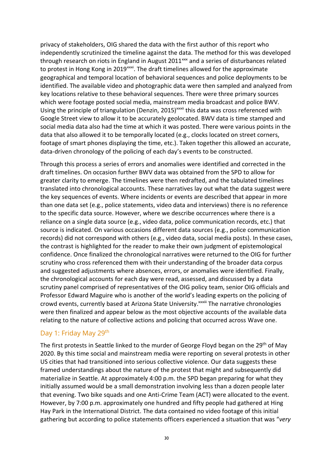privacy of stakeholders, OIG shared the data with the first author of this report who independently scrutinized the timeline against the data. The method for this was developed through research on riots in England in August  $2011<sup>xxx</sup>$  and a series of disturbances related to protest in Hong Kong in 2019 $\frac{1}{2}$  The draft timelines allowed for the approximate geographical and temporal location of behavioral sequences and police deployments to be identified. The available video and photographic data were then sampled and analyzed from key locations relative to these behavioral sequences. There were three primary sources which were footage posted social media, mainstream media broadcast and police BWV. Using the principle of triangulation (Denzin, 2015)<sup>xxxii</sup> this data was cross referenced with Google Street view to allow it to be accurately geolocated. BWV data is time stamped and social media data also had the time at which it was posted. There were various points in the data that also allowed it to be temporally located (e.g., clocks located on street corners, footage of smart phones displaying the time, etc.). Taken together this allowed an accurate, data-driven chronology of the policing of each day's events to be constructed.

Through this process a series of errors and anomalies were identified and corrected in the draft timelines. On occasion further BWV data was obtained from the SPD to allow for greater clarity to emerge. The timelines were then redrafted, and the tabulated timelines translated into chronological accounts. These narratives lay out what the data suggest were the key sequences of events. Where incidents or events are described that appear in more than one data set (e.g., police statements, video data and interviews) there is no reference to the specific data source. However, where we describe occurrences where there is a reliance on a single data source (e.g., video data, police communication records, etc.) that source is indicated. On various occasions different data sources (e.g., police communication records) did not correspond with others (e.g., video data, social media posts). In these cases, the contrast is highlighted for the reader to make their own judgment of epistemological confidence. Once finalized the chronological narratives were returned to the OIG for further scrutiny who cross referenced them with their understanding of the broader data corpus and suggested adjustments where absences, errors, or anomalies were identified. Finally, the chronological accounts for each day were read, assessed, and discussed by a data scrutiny panel comprised of representatives of the OIG policy team, senior OIG officials and Professor Edward Maguire who is another of the world's leading experts on the policing of crowd events, currently based at Arizona State University.<sup>xxxiii</sup> The narrative chronologies were then finalized and appear below as the most objective accounts of the available data relating to the nature of collective actions and policing that occurred across Wave one.

### Day 1: Friday May 29<sup>th</sup>

The first protests in Seattle linked to the murder of George Floyd began on the 29<sup>th</sup> of May 2020. By this time social and mainstream media were reporting on several protests in other US cities that had transitioned into serious collective violence. Our data suggests these framed understandings about the nature of the protest that might and subsequently did materialize in Seattle. At approximately 4:00 p.m. the SPD began preparing for what they initially assumed would be a small demonstration involving less than a dozen people later that evening. Two bike squads and one Anti-Crime Team (ACT) were allocated to the event. However, by 7:00 p.m. approximately one hundred and fifty people had gathered at Hing Hay Park in the International District. The data contained no video footage of this initial gathering but according to police statements officers experienced a situation that was "*very*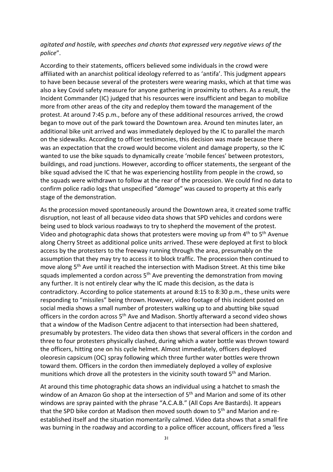#### *agitated and hostile, with speeches and chants that expressed very negative views of the police*".

According to their statements, officers believed some individuals in the crowd were affiliated with an anarchist political ideology referred to as 'antifa'. This judgment appears to have been because several of the protesters were wearing masks, which at that time was also a key Covid safety measure for anyone gathering in proximity to others. As a result, the Incident Commander (IC) judged that his resources were insufficient and began to mobilize more from other areas of the city and redeploy them toward the management of the protest. At around 7:45 p.m., before any of these additional resources arrived, the crowd began to move out of the park toward the Downtown area. Around ten minutes later, an additional bike unit arrived and was immediately deployed by the IC to parallel the march on the sidewalks. According to officer testimonies, this decision was made because there was an expectation that the crowd would become violent and damage property, so the IC wanted to use the bike squads to dynamically create 'mobile fences' between protestors, buildings, and road junctions. However, according to officer statements, the sergeant of the bike squad advised the IC that he was experiencing hostility from people in the crowd, so the squads were withdrawn to follow at the rear of the procession. We could find no data to confirm police radio logs that unspecified "*damage*" was caused to property at this early stage of the demonstration.

As the procession moved spontaneously around the Downtown area, it created some traffic disruption, not least of all because video data shows that SPD vehicles and cordons were being used to block various roadways to try to shepherd the movement of the protest. Video and photographic data shows that protesters were moving up from  $4<sup>th</sup>$  to  $5<sup>th</sup>$  Avenue along Cherry Street as additional police units arrived. These were deployed at first to block access by the protesters to the freeway running through the area, presumably on the assumption that they may try to access it to block traffic. The procession then continued to move along 5<sup>th</sup> Ave until it reached the intersection with Madison Street. At this time bike squads implemented a cordon across  $5<sup>th</sup>$  Ave preventing the demonstration from moving any further. It is not entirely clear why the IC made this decision, as the data is contradictory. According to police statements at around 8:15 to 8:30 p.m., these units were responding to "missiles" being thrown. However, video footage of this incident posted on social media shows a small number of protesters walking up to and abutting bike squad officers in the cordon across 5<sup>th</sup> Ave and Madison. Shortly afterward a second video shows that a window of the Madison Centre adjacent to that intersection had been shattered, presumably by protesters. The video data then shows that several officers in the cordon and three to four protesters physically clashed, during which a water bottle was thrown toward the officers, hitting one on his cycle helmet. Almost immediately, officers deployed oleoresin capsicum (OC) spray following which three further water bottles were thrown toward them. Officers in the cordon then immediately deployed a volley of explosive munitions which drove all the protesters in the vicinity south toward 5<sup>th</sup> and Marion.

At around this time photographic data shows an individual using a hatchet to smash the window of an Amazon Go shop at the intersection of 5<sup>th</sup> and Marion and some of its other windows are spray painted with the phrase "A.C.A.B." (All Cops Are Bastards). It appears that the SPD bike cordon at Madison then moved south down to 5<sup>th</sup> and Marion and reestablished itself and the situation momentarily calmed. Video data shows that a small fire was burning in the roadway and according to a police officer account, officers fired a 'less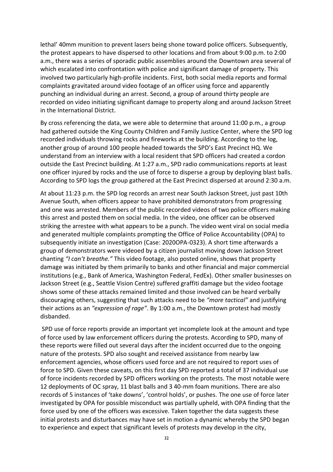lethal' 40mm munition to prevent lasers being shone toward police officers. Subsequently, the protest appears to have dispersed to other locations and from about 9:00 p.m. to 2:00 a.m., there was a series of sporadic public assemblies around the Downtown area several of which escalated into confrontation with police and significant damage of property. This involved two particularly high-profile incidents. First, both social media reports and formal complaints gravitated around video footage of an officer using force and apparently punching an individual during an arrest. Second, a group of around thirty people are recorded on video initiating significant damage to property along and around Jackson Street in the International District.

By cross referencing the data, we were able to determine that around 11:00 p.m., a group had gathered outside the King County Children and Family Justice Center, where the SPD log recorded individuals throwing rocks and fireworks at the building. According to the log, another group of around 100 people headed towards the SPD's East Precinct HQ. We understand from an interview with a local resident that SPD officers had created a cordon outside the East Precinct building. At 1:27 a.m., SPD radio communications reports at least one officer injured by rocks and the use of force to disperse a group by deploying blast balls. According to SPD logs the group gathered at the East Precinct dispersed at around 2:30 a.m.

At about 11:23 p.m. the SPD log records an arrest near South Jackson Street, just past 10th Avenue South, when officers appear to have prohibited demonstrators from progressing and one was arrested. Members of the public recorded videos of two police officers making this arrest and posted them on social media. In the video, one officer can be observed striking the arrestee with what appears to be a punch. The video went viral on social media and generated multiple complaints prompting the Office of Police Accountability (OPA) to subsequently initiate an investigation (Case: 2020OPA-0323). A short time afterwards a group of demonstrators were videoed by a citizen journalist moving down Jackson Street chanting *"I can't breathe."* This video footage, also posted online, shows that property damage was initiated by them primarily to banks and other financial and major commercial institutions (e.g., Bank of America, Washington Federal, FedEx). Other smaller businesses on Jackson Street (e.g., Seattle Vision Centre) suffered graffiti damage but the video footage shows some of these attacks remained limited and those involved can be heard verbally discouraging others, suggesting that such attacks need to be *"more tactical"* and justifying their actions as an *"expression of rage"*. By 1:00 a.m., the Downtown protest had mostly disbanded.

SPD use of force reports provide an important yet incomplete look at the amount and type of force used by law enforcement officers during the protests. According to SPD, many of these reports were filled out several days after the incident occurred due to the ongoing nature of the protests. SPD also sought and received assistance from nearby law enforcement agencies, whose officers used force and are not required to report uses of force to SPD. Given these caveats, on this first day SPD reported a total of 37 individual use of force incidents recorded by SPD officers working on the protests. The most notable were 12 deployments of OC spray, 11 blast balls and 3 40-mm foam munitions. There are also records of 5 instances of 'take downs', 'control holds', or pushes. The one use of force later investigated by OPA for possible misconduct was partially upheld, with OPA finding that the force used by one of the officers was excessive. Taken together the data suggests these initial protests and disturbances may have set in motion a dynamic whereby the SPD began to experience and expect that significant levels of protests may develop in the city,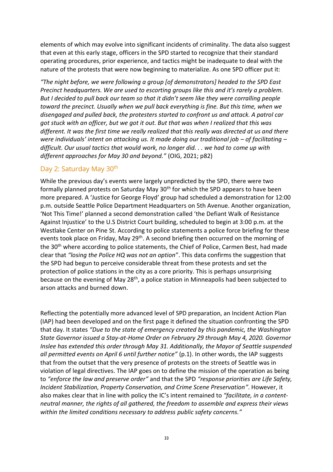elements of which may evolve into significant incidents of criminality. The data also suggest that even at this early stage, officers in the SPD started to recognize that their standard operating procedures, prior experience, and tactics might be inadequate to deal with the nature of the protests that were now beginning to materialize. As one SPD officer put it:

*"The night before, we were following a group [of demonstrators] headed to the SPD East Precinct headquarters. We are used to escorting groups like this and it's rarely a problem. But I decided to pull back our team so that it didn't seem like they were corralling people toward the precinct. Usually when we pull back everything is fine. But this time, when we disengaged and pulled back, the protesters started to confront us and attack. A patrol car got stuck with an officer, but we got it out. But that was when I realized that this was different. It was the first time we really realized that this really was directed at us and there were individuals' intent on attacking us. It made doing our traditional job – of facilitating – difficult. Our usual tactics that would work, no longer did. . . we had to come up with different approaches for May 30 and beyond."* (OIG, 2021; p82)

### Day 2: Saturday May 30<sup>th</sup>

While the previous day's events were largely unpredicted by the SPD, there were two formally planned protests on Saturday May 30<sup>th</sup> for which the SPD appears to have been more prepared. A 'Justice for George Floyd' group had scheduled a demonstration for 12:00 p.m. outside Seattle Police Department Headquarters on 5th Avenue. Another organization, 'Not This Time!' planned a second demonstration called 'the Defiant Walk of Resistance Against Injustice' to the U.S District Court building, scheduled to begin at 3:00 p.m. at the Westlake Center on Pine St. According to police statements a police force briefing for these events took place on Friday, May 29<sup>th</sup>. A second briefing then occurred on the morning of the 30<sup>th</sup> where according to police statements, the Chief of Police, Carmen Best, had made clear that *"losing the Police HQ was not an option*". This data confirms the suggestion that the SPD had begun to perceive considerable threat from these protests and set the protection of police stations in the city as a core priority. This is perhaps unsurprising because on the evening of May 28<sup>th</sup>, a police station in Minneapolis had been subjected to arson attacks and burned down.

Reflecting the potentially more advanced level of SPD preparation, an Incident Action Plan (IAP) had been developed and on the first page it defined the situation confronting the SPD that day. It states *"Due to the state of emergency created by this pandemic, the Washington State Governor issued a Stay-at-Home Order on February 29 through May 4, 2020. Governor Inslee has extended this order through May 31. Additionally, the Mayor of Seattle suspended all permitted events on April 6 until further notice"* (p.1). In other words, the IAP suggests that from the outset that the very presence of protests on the streets of Seattle was in violation of legal directives. The IAP goes on to define the mission of the operation as being to *"enforce the law and preserve order"* and that the SPD *"response priorities are Life Safety, Incident Stabilization, Property Conservation, and Crime Scene Preservation"*. However, it also makes clear that in line with policy the IC's intent remained to *"facilitate, in a contentneutral manner, the rights of all gathered, the freedom to assemble and express their views within the limited conditions necessary to address public safety concerns."*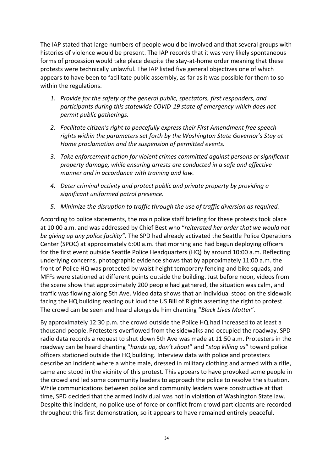The IAP stated that large numbers of people would be involved and that several groups with histories of violence would be present. The IAP records that it was very likely spontaneous forms of procession would take place despite the stay-at-home order meaning that these protests were technically unlawful. The IAP listed five general objectives one of which appears to have been to facilitate public assembly, as far as it was possible for them to so within the regulations.

- *1. Provide for the safety of the general public, spectators, first responders, and participants during this statewide COVID-19 state of emergency which does not permit public gatherings.*
- *2. Facilitate citizen's right to peacefully express their First Amendment free speech rights within the parameters set forth by the Washington State Governor's Stay at Home proclamation and the suspension of permitted events.*
- *3. Take enforcement action for violent crimes committed against persons or significant property damage, while ensuring arrests are conducted in a safe and effective manner and in accordance with training and law.*
- *4. Deter criminal activity and protect public and private property by providing a significant uniformed patrol presence.*
- *5. Minimize the disruption to traffic through the use of traffic diversion as required.*

According to police statements, the main police staff briefing for these protests took place at 10:00 a.m. and was addressed by Chief Best who "*reiterated her order that we would not be giving up any police facility".* The SPD had already activated the Seattle Police Operations Center (SPOC) at approximately 6:00 a.m. that morning and had begun deploying officers for the first event outside Seattle Police Headquarters (HQ) by around 10:00 a.m. Reflecting underlying concerns, photographic evidence shows that by approximately 11:00 a.m. the front of Police HQ was protected by waist height temporary fencing and bike squads, and MFFs were stationed at different points outside the building. Just before noon, videos from the scene show that approximately 200 people had gathered, the situation was calm, and traffic was flowing along 5th Ave. Video data shows that an individual stood on the sidewalk facing the HQ building reading out loud the US Bill of Rights asserting the right to protest. The crowd can be seen and heard alongside him chanting "*Black Lives Matter*".

By approximately 12:30 p.m. the crowd outside the Police HQ had increased to at least a thousand people. Protesters overflowed from the sidewalks and occupied the roadway. SPD radio data records a request to shut down 5th Ave was made at 11:50 a.m. Protesters in the roadway can be heard chanting "*hands up, don't shoot*" and "*stop killing us*" toward police officers stationed outside the HQ building. Interview data with police and protesters describe an incident where a white male, dressed in military clothing and armed with a rifle, came and stood in the vicinity of this protest. This appears to have provoked some people in the crowd and led some community leaders to approach the police to resolve the situation. While communications between police and community leaders were constructive at that time, SPD decided that the armed individual was not in violation of Washington State law. Despite this incident, no police use of force or conflict from crowd participants are recorded throughout this first demonstration, so it appears to have remained entirely peaceful.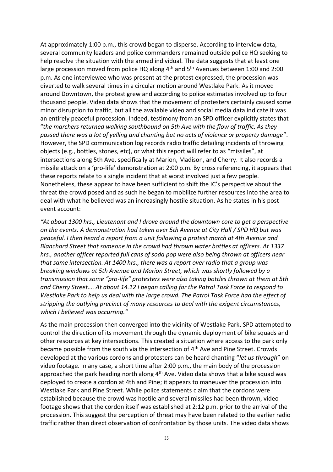At approximately 1:00 p.m., this crowd began to disperse. According to interview data, several community leaders and police commanders remained outside police HQ seeking to help resolve the situation with the armed individual. The data suggests that at least one large procession moved from police HQ along 4<sup>th</sup> and 5<sup>th</sup> Avenues between 1:00 and 2:00 p.m. As one interviewee who was present at the protest expressed, the procession was diverted to walk several times in a circular motion around Westlake Park. As it moved around Downtown, the protest grew and according to police estimates involved up to four thousand people. Video data shows that the movement of protesters certainly caused some minor disruption to traffic, but all the available video and social media data indicate it was an entirely peaceful procession. Indeed, testimony from an SPD officer explicitly states that "*the marchers returned walking southbound on 5th Ave with the flow of traffic. As they passed there was a lot of yelling and chanting but no acts of violence or property damage*". However, the SPD communication log records radio traffic detailing incidents of throwing objects (e.g., bottles, stones, etc), or what this report will refer to as "missiles", at intersections along 5th Ave, specifically at Marion, Madison, and Cherry. It also records a missile attack on a 'pro-life' demonstration at 2:00 p.m. By cross referencing, it appears that these reports relate to a single incident that at worst involved just a few people. Nonetheless, these appear to have been sufficient to shift the IC's perspective about the threat the crowd posed and as such he began to mobilize further resources into the area to deal with what he believed was an increasingly hostile situation. As he states in his post event account:

*"At about 1300 hrs., Lieutenant and I drove around the downtown core to get a perspective on the events. A demonstration had taken over 5th Avenue at City Hall / SPD HQ but was peaceful. I then heard a report from a unit following a protest march at 4th Avenue and Blanchard Street that someone in the crowd had thrown water bottles at officers. At 1337 hrs., another officer reported full cans of soda pop were also being thrown at officers near that same intersection. At 1400 hrs., there was a report over radio that a group was breaking windows at 5th Avenue and Marion Street, which was shortly followed by a transmission that some "pro-life" protesters were also taking bottles thrown at them at 5th and Cherry Street…. At about 14.12 I began calling for the Patrol Task Force to respond to Westlake Park to help us deal with the large crowd. The Patrol Task Force had the effect of stripping the outlying precinct of many resources to deal with the exigent circumstances, which I believed was occurring."* 

As the main procession then converged into the vicinity of Westlake Park, SPD attempted to control the direction of its movement through the dynamic deployment of bike squads and other resources at key intersections. This created a situation where access to the park only became possible from the south via the intersection of 4<sup>th</sup> Ave and Pine Street. Crowds developed at the various cordons and protesters can be heard chanting "*let us through*" on video footage. In any case, a short time after 2:00 p.m., the main body of the procession approached the park heading north along  $4<sup>th</sup>$  Ave. Video data shows that a bike squad was deployed to create a cordon at 4th and Pine; it appears to maneuver the procession into Westlake Park and Pine Street. While police statements claim that the cordons were established because the crowd was hostile and several missiles had been thrown, video footage shows that the cordon itself was established at 2:12 p.m. prior to the arrival of the procession. This suggest the perception of threat may have been related to the earlier radio traffic rather than direct observation of confrontation by those units. The video data shows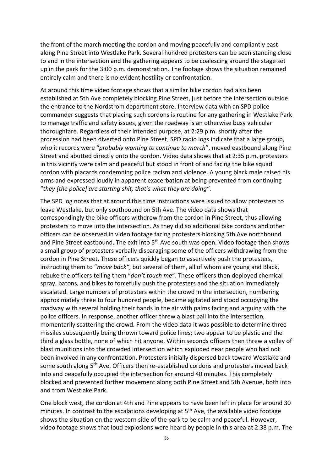the front of the march meeting the cordon and moving peacefully and compliantly east along Pine Street into Westlake Park. Several hundred protesters can be seen standing close to and in the intersection and the gathering appears to be coalescing around the stage set up in the park for the 3:00 p.m. demonstration. The footage shows the situation remained entirely calm and there is no evident hostility or confrontation.

At around this time video footage shows that a similar bike cordon had also been established at 5th Ave completely blocking Pine Street, just before the intersection outside the entrance to the Nordstrom department store. Interview data with an SPD police commander suggests that placing such cordons is routine for any gathering in Westlake Park to manage traffic and safety issues, given the roadway is an otherwise busy vehicular thoroughfare. Regardless of their intended purpose, at 2:29 p.m. shortly after the procession had been diverted onto Pine Street, SPD radio logs indicate that a large group, who it records were "*probably wanting to continue to march*", moved eastbound along Pine Street and abutted directly onto the cordon. Video data shows that at 2:35 p.m. protesters in this vicinity were calm and peaceful but stood in front of and facing the bike squad cordon with placards condemning police racism and violence. A young black male raised his arms and expressed loudly in apparent exacerbation at being prevented from continuing "*they [the police] are starting shit, that's what they are doing*".

The SPD log notes that at around this time instructions were issued to allow protesters to leave Westlake, but only southbound on 5th Ave. The video data shows that correspondingly the bike officers withdrew from the cordon in Pine Street, thus allowing protesters to move into the intersection. As they did so additional bike cordons and other officers can be observed in video footage facing protesters blocking 5th Ave northbound and Pine Street eastbound. The exit into 5<sup>th</sup> Ave south was open. Video footage then shows a small group of protesters verbally disparaging some of the officers withdrawing from the cordon in Pine Street. These officers quickly began to assertively push the protesters, instructing them to "*move back"*, but several of them, all of whom are young and Black, rebuke the officers telling them "*don't touch me*". These officers then deployed chemical spray, batons, and bikes to forcefully push the protesters and the situation immediately escalated. Large numbers of protesters within the crowd in the intersection, numbering approximately three to four hundred people, became agitated and stood occupying the roadway with several holding their hands in the air with palms facing and arguing with the police officers. In response, another officer threw a blast ball into the intersection, momentarily scattering the crowd. From the video data it was possible to determine three missiles subsequently being thrown toward police lines; two appear to be plastic and the third a glass bottle, none of which hit anyone. Within seconds officers then threw a volley of blast munitions into the crowded intersection which exploded near people who had not been involved in any confrontation. Protesters initially dispersed back toward Westlake and some south along 5<sup>th</sup> Ave. Officers then re-established cordons and protesters moved back into and peacefully occupied the intersection for around 40 minutes. This completely blocked and prevented further movement along both Pine Street and 5th Avenue, both into and from Westlake Park.

One block west, the cordon at 4th and Pine appears to have been left in place for around 30 minutes. In contrast to the escalations developing at 5<sup>th</sup> Ave, the available video footage shows the situation on the western side of the park to be calm and peaceful. However, video footage shows that loud explosions were heard by people in this area at 2:38 p.m. The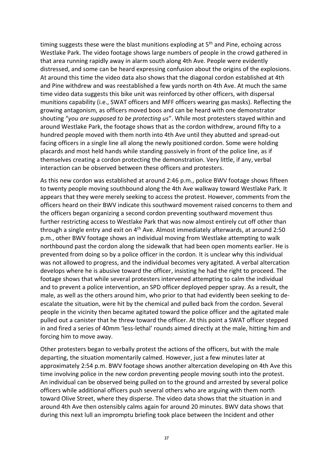timing suggests these were the blast munitions exploding at  $5<sup>th</sup>$  and Pine, echoing across Westlake Park. The video footage shows large numbers of people in the crowd gathered in that area running rapidly away in alarm south along 4th Ave. People were evidently distressed, and some can be heard expressing confusion about the origins of the explosions. At around this time the video data also shows that the diagonal cordon established at 4th and Pine withdrew and was reestablished a few yards north on 4th Ave. At much the same time video data suggests this bike unit was reinforced by other officers, with dispersal munitions capability (i.e., SWAT officers and MFF officers wearing gas masks). Reflecting the growing antagonism, as officers moved boos and can be heard with one demonstrator shouting "*you are supposed to be protecting us*". While most protesters stayed within and around Westlake Park, the footage shows that as the cordon withdrew, around fifty to a hundred people moved with them north into 4th Ave until they abutted and spread-out facing officers in a single line all along the newly positioned cordon. Some were holding placards and most held hands while standing passively in front of the police line, as if themselves creating a cordon protecting the demonstration. Very little, if any, verbal interaction can be observed between these officers and protesters.

As this new cordon was established at around 2:46 p.m., police BWV footage shows fifteen to twenty people moving southbound along the 4th Ave walkway toward Westlake Park. It appears that they were merely seeking to access the protest. However, comments from the officers heard on their BWV indicate this southward movement raised concerns to them and the officers began organizing a second cordon preventing southward movement thus further restricting access to Westlake Park that was now almost entirely cut off other than through a single entry and exit on 4<sup>th</sup> Ave. Almost immediately afterwards, at around 2:50 p.m., other BWV footage shows an individual moving from Westlake attempting to walk northbound past the cordon along the sidewalk that had been open moments earlier. He is prevented from doing so by a police officer in the cordon. It is unclear why this individual was not allowed to progress, and the individual becomes very agitated. A verbal altercation develops where he is abusive toward the officer, insisting he had the right to proceed. The footage shows that while several protesters intervened attempting to calm the individual and to prevent a police intervention, an SPD officer deployed pepper spray. As a result, the male, as well as the others around him, who prior to that had evidently been seeking to deescalate the situation, were hit by the chemical and pulled back from the cordon. Several people in the vicinity then became agitated toward the police officer and the agitated male pulled out a canister that he threw toward the officer. At this point a SWAT officer stepped in and fired a series of 40mm 'less-lethal' rounds aimed directly at the male, hitting him and forcing him to move away.

Other protesters began to verbally protest the actions of the officers, but with the male departing, the situation momentarily calmed. However, just a few minutes later at approximately 2:54 p.m. BWV footage shows another altercation developing on 4th Ave this time involving police in the new cordon preventing people moving south into the protest. An individual can be observed being pulled on to the ground and arrested by several police officers while additional officers push several others who are arguing with them north toward Olive Street, where they disperse. The video data shows that the situation in and around 4th Ave then ostensibly calms again for around 20 minutes. BWV data shows that during this next lull an impromptu briefing took place between the Incident and other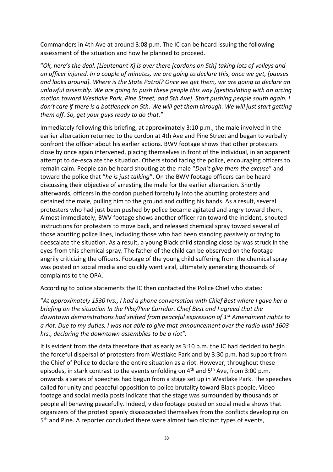Commanders in 4th Ave at around 3:08 p.m. The IC can be heard issuing the following assessment of the situation and how he planned to proceed.

"*Ok, here's the deal. [Lieutenant X] is over there [cordons on 5th] taking lots of volleys and an officer injured. In a couple of minutes, we are going to declare this, once we get, [pauses and looks around]. Where is the State Patrol? Once we get them, we are going to declare an unlawful assembly. We are going to push these people this way [gesticulating with an arcing motion toward Westlake Park, Pine Street, and 5th Ave]. Start pushing people south again. I don't care if there is a bottleneck on 5th. We will get them through. We will just start getting them off. So, get your guys ready to do that.*"

Immediately following this briefing, at approximately 3:10 p.m., the male involved in the earlier altercation returned to the cordon at 4th Ave and Pine Street and began to verbally confront the officer about his earlier actions. BWV footage shows that other protesters close by once again intervened, placing themselves in front of the individual, in an apparent attempt to de-escalate the situation. Others stood facing the police, encouraging officers to remain calm. People can be heard shouting at the male "*Don't give them the excuse*" and toward the police that "*he is just talking*". On the BWV footage officers can be heard discussing their objective of arresting the male for the earlier altercation. Shortly afterwards, officers in the cordon pushed forcefully into the abutting protesters and detained the male, pulling him to the ground and cuffing his hands. As a result, several protesters who had just been pushed by police became agitated and angry toward them. Almost immediately, BWV footage shows another officer ran toward the incident, shouted instructions for protesters to move back, and released chemical spray toward several of those abutting police lines, including those who had been standing passively or trying to deescalate the situation. As a result, a young Black child standing close by was struck in the eyes from this chemical spray. The father of the child can be observed on the footage angrily criticizing the officers. Footage of the young child suffering from the chemical spray was posted on social media and quickly went viral, ultimately generating thousands of complaints to the OPA.

According to police statements the IC then contacted the Police Chief who states:

"*At approximately 1530 hrs., I had a phone conversation with Chief Best where I gave her a briefing on the situation In the Pike/Pine Corridor. Chief Best and I agreed that the downtown demonstrations had shifted from peaceful expression of 1st Amendment rights to a riot. Due to my duties, I was not able to give that announcement over the radio until 1603 hrs., declaring the downtown assemblies to be a riot".*

It is evident from the data therefore that as early as 3:10 p.m. the IC had decided to begin the forceful dispersal of protesters from Westlake Park and by 3:30 p.m. had support from the Chief of Police to declare the entire situation as a riot. However, throughout these episodes, in stark contrast to the events unfolding on 4<sup>th</sup> and 5<sup>th</sup> Ave, from 3:00 p.m. onwards a series of speeches had begun from a stage set up in Westlake Park. The speeches called for unity and peaceful opposition to police brutality toward Black people. Video footage and social media posts indicate that the stage was surrounded by thousands of people all behaving peacefully. Indeed, video footage posted on social media shows that organizers of the protest openly disassociated themselves from the conflicts developing on 5<sup>th</sup> and Pine. A reporter concluded there were almost two distinct types of events,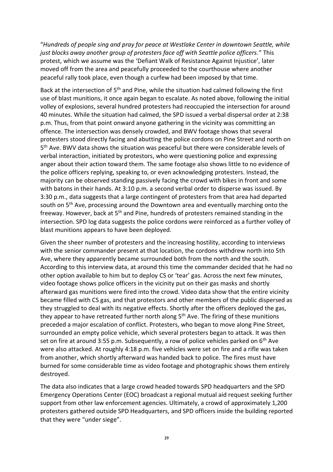"*Hundreds of people sing and pray for peace at Westlake Center in downtown Seattle, while just blocks away another group of protesters face off with Seattle police officers."* This protest, which we assume was the 'Defiant Walk of Resistance Against Injustice', later moved off from the area and peacefully proceeded to the courthouse where another peaceful rally took place, even though a curfew had been imposed by that time.

Back at the intersection of 5<sup>th</sup> and Pine, while the situation had calmed following the first use of blast munitions, it once again began to escalate. As noted above, following the initial volley of explosions, several hundred protesters had reoccupied the intersection for around 40 minutes. While the situation had calmed, the SPD issued a verbal dispersal order at 2:38 p.m. Thus, from that point onward anyone gathering in the vicinity was committing an offence. The intersection was densely crowded, and BWV footage shows that several protesters stood directly facing and abutting the police cordons on Pine Street and north on 5<sup>th</sup> Ave. BWV data shows the situation was peaceful but there were considerable levels of verbal interaction, initiated by protestors, who were questioning police and expressing anger about their action toward them. The same footage also shows little to no evidence of the police officers replying, speaking to, or even acknowledging protesters. Instead, the majority can be observed standing passively facing the crowd with bikes in front and some with batons in their hands. At 3:10 p.m. a second verbal order to disperse was issued. By 3:30 p.m., data suggests that a large contingent of protesters from that area had departed south on 5<sup>th</sup> Ave, processing around the Downtown area and eventually marching onto the freeway. However, back at 5th and Pine, hundreds of protesters remained standing in the intersection. SPD log data suggests the police cordons were reinforced as a further volley of blast munitions appears to have been deployed.

Given the sheer number of protesters and the increasing hostility, according to interviews with the senior commander present at that location, the cordons withdrew north into 5th Ave, where they apparently became surrounded both from the north and the south. According to this interview data, at around this time the commander decided that he had no other option available to him but to deploy CS or 'tear' gas. Across the next few minutes, video footage shows police officers in the vicinity put on their gas masks and shortly afterward gas munitions were fired into the crowd. Video data show that the entire vicinity became filled with CS gas, and that protestors and other members of the public dispersed as they struggled to deal with its negative effects. Shortly after the officers deployed the gas, they appear to have retreated further north along  $5<sup>th</sup>$  Ave. The firing of these munitions preceded a major escalation of conflict. Protesters, who began to move along Pine Street, surrounded an empty police vehicle, which several protesters began to attack. It was then set on fire at around 3:55 p.m. Subsequently, a row of police vehicles parked on  $6<sup>th</sup>$  Ave were also attacked. At roughly 4:18 p.m. five vehicles were set on fire and a rifle was taken from another, which shortly afterward was handed back to police. The fires must have burned for some considerable time as video footage and photographic shows them entirely destroyed.

The data also indicates that a large crowd headed towards SPD headquarters and the SPD Emergency Operations Center (EOC) broadcast a regional mutual aid request seeking further support from other law enforcement agencies. Ultimately, a crowd of approximately 1,200 protesters gathered outside SPD Headquarters, and SPD officers inside the building reported that they were "under siege".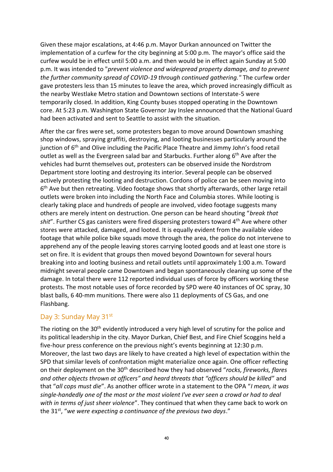Given these major escalations, at 4:46 p.m. Mayor Durkan announced on Twitter the implementation of a curfew for the city beginning at 5:00 p.m. The mayor's office said the curfew would be in effect until 5:00 a.m. and then would be in effect again Sunday at 5:00 p.m. It was intended to "*prevent violence and widespread property damage, and to prevent the further community spread of COVID-19 through continued gathering."* The curfew order gave protesters less than 15 minutes to leave the area, which proved increasingly difficult as the nearby Westlake Metro station and Downtown sections of Interstate-5 were temporarily closed. In addition, King County buses stopped operating in the Downtown core. At 5:23 p.m. Washington State Governor Jay Inslee announced that the National Guard had been activated and sent to Seattle to assist with the situation.

After the car fires were set, some protesters began to move around Downtown smashing shop windows, spraying graffiti, destroying, and looting businesses particularly around the junction of 6<sup>th</sup> and Olive including the Pacific Place Theatre and Jimmy John's food retail outlet as well as the Evergreen salad bar and Starbucks. Further along  $6<sup>th</sup>$  Ave after the vehicles had burnt themselves out, protesters can be observed inside the Nordstrom Department store looting and destroying its interior. Several people can be observed actively protesting the looting and destruction. Cordons of police can be seen moving into 6<sup>th</sup> Ave but then retreating. Video footage shows that shortly afterwards, other large retail outlets were broken into including the North Face and Columbia stores. While looting is clearly taking place and hundreds of people are involved, video footage suggests many others are merely intent on destruction. One person can be heard shouting "*break that shit*". Further CS gas canisters were fired dispersing protesters toward 4th Ave where other stores were attacked, damaged, and looted. It is equally evident from the available video footage that while police bike squads move through the area, the police do not intervene to apprehend any of the people leaving stores carrying looted goods and at least one store is set on fire. It is evident that groups then moved beyond Downtown for several hours breaking into and looting business and retail outlets until approximately 1:00 a.m. Toward midnight several people came Downtown and began spontaneously cleaning up some of the damage. In total there were 112 reported individual uses of force by officers working these protests. The most notable uses of force recorded by SPD were 40 instances of OC spray, 30 blast balls, 6 40-mm munitions. There were also 11 deployments of CS Gas, and one Flashbang.

### Day 3: Sunday May 31<sup>st</sup>

The rioting on the 30<sup>th</sup> evidently introduced a very high level of scrutiny for the police and its political leadership in the city. Mayor Durkan, Chief Best, and Fire Chief Scoggins held a five-hour press conference on the previous night's events beginning at 12:30 p.m. Moreover, the last two days are likely to have created a high level of expectation within the SPD that similar levels of confrontation might materialize once again. One officer reflecting on their deployment on the 30th described how they had observed "*rocks, fireworks, flares and other objects thrown at officers" and heard threats that "officers should be killed*" and that "*all cops must die*". As another officer wrote in a statement to the OPA "*I mean, it was single-handedly one of the most or the most violent I've ever seen a crowd or had to deal with in terms of just sheer violence*". They continued that when they came back to work on the 31st, "*we were expecting a continuance of the previous two days*."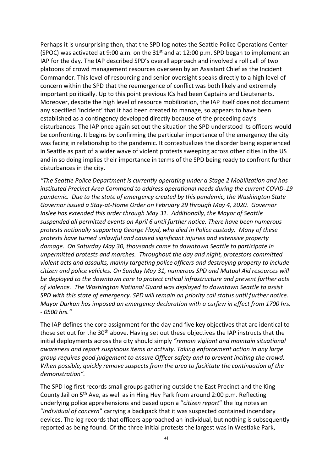Perhaps it is unsurprising then, that the SPD log notes the Seattle Police Operations Center (SPOC) was activated at 9:00 a.m. on the 31st and at 12:00 p.m. SPD began to implement an IAP for the day. The IAP described SPD's overall approach and involved a roll call of two platoons of crowd management resources overseen by an Assistant Chief as the Incident Commander. This level of resourcing and senior oversight speaks directly to a high level of concern within the SPD that the reemergence of conflict was both likely and extremely important politically. Up to this point previous ICs had been Captains and Lieutenants. Moreover, despite the high level of resource mobilization, the IAP itself does not document any specified 'incident' that it had been created to manage, so appears to have been established as a contingency developed directly because of the preceding day's disturbances. The IAP once again set out the situation the SPD understood its officers would be confronting. It begins by confirming the particular importance of the emergency the city was facing in relationship to the pandemic. It contextualizes the disorder being experienced in Seattle as part of a wider wave of violent protests sweeping across other cities in the US and in so doing implies their importance in terms of the SPD being ready to confront further disturbances in the city.

*"The Seattle Police Department is currently operating under a Stage 2 Mobilization and has instituted Precinct Area Command to address operational needs during the current COVID-19 pandemic. Due to the state of emergency created by this pandemic, the Washington State Governor issued a Stay-at-Home Order on February 29 through May 4, 2020. Governor Inslee has extended this order through May 31. Additionally, the Mayor of Seattle suspended all permitted events on April 6 until further notice. There have been numerous protests nationally supporting George Floyd, who died in Police custody. Many of these protests have turned unlawful and caused significant injuries and extensive property damage. On Saturday May 30, thousands came to downtown Seattle to participate in unpermitted protests and marches. Throughout the day and night, protestors committed violent acts and assaults, mainly targeting police officers and destroying property to include citizen and police vehicles. On Sunday May 31, numerous SPD and Mutual Aid resources will be deployed to the downtown core to protect critical infrastructure and prevent further acts of violence. The Washington National Guard was deployed to downtown Seattle to assist SPD with this state of emergency. SPD will remain on priority call status until further notice. Mayor Durkan has imposed an emergency declaration with a curfew in effect from 1700 hrs. - 0500 hrs."*

The IAP defines the core assignment for the day and five key objectives that are identical to those set out for the 30<sup>th</sup> above. Having set out these objectives the IAP instructs that the initial deployments across the city should simply *"remain vigilant and maintain situational awareness and report suspicious items or activity. Taking enforcement action in any large group requires good judgement to ensure Officer safety and to prevent inciting the crowd. When possible, quickly remove suspects from the area to facilitate the continuation of the demonstration".*

The SPD log first records small groups gathering outside the East Precinct and the King County Jail on 5th Ave, as well as in Hing Hey Park from around 2:00 p.m. Reflecting underlying police apprehensions and based upon a "*citizen report*" the log notes an "*individual of concern*" carrying a backpack that it was suspected contained incendiary devices. The log records that officers approached an individual, but nothing is subsequently reported as being found. Of the three initial protests the largest was in Westlake Park,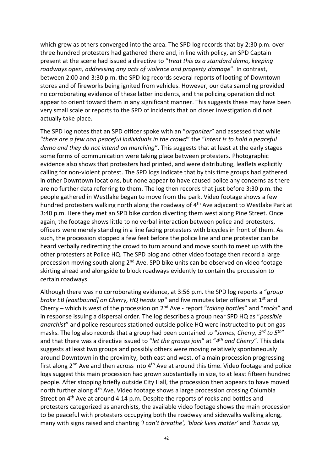which grew as others converged into the area. The SPD log records that by 2:30 p.m. over three hundred protesters had gathered there and, in line with policy, an SPD Captain present at the scene had issued a directive to "*treat this as a standard demo, keeping roadways open, addressing any acts of violence and property damage*". In contrast, between 2:00 and 3:30 p.m. the SPD log records several reports of looting of Downtown stores and of fireworks being ignited from vehicles. However, our data sampling provided no corroborating evidence of these latter incidents, and the policing operation did not appear to orient toward them in any significant manner. This suggests these may have been very small scale or reports to the SPD of incidents that on closer investigation did not actually take place.

The SPD log notes that an SPD officer spoke with an "*organizer*" and assessed that while "*there are a few non peaceful individuals in the crowd*" the "*intent is to hold a peaceful demo and they do not intend on marching*". This suggests that at least at the early stages some forms of communication were taking place between protesters. Photographic evidence also shows that protesters had printed, and were distributing, leaflets explicitly calling for non-violent protest. The SPD logs indicate that by this time groups had gathered in other Downtown locations, but none appear to have caused police any concerns as there are no further data referring to them. The log then records that just before 3:30 p.m. the people gathered in Westlake began to move from the park. Video footage shows a few hundred protesters walking north along the roadway of 4<sup>th</sup> Ave adjacent to Westlake Park at 3:40 p.m. Here they met an SPD bike cordon diverting them west along Pine Street. Once again, the footage shows little to no verbal interaction between police and protesters, officers were merely standing in a line facing protesters with bicycles in front of them. As such, the procession stopped a few feet before the police line and one protester can be heard verbally redirecting the crowd to turn around and move south to meet up with the other protesters at Police HQ. The SPD blog and other video footage then record a large procession moving south along  $2<sup>nd</sup>$  Ave. SPD bike units can be observed on video footage skirting ahead and alongside to block roadways evidently to contain the procession to certain roadways.

Although there was no corroborating evidence, at 3:56 p.m. the SPD log reports a "*group broke EB [eastbound] on Cherry, HQ heads up*" and five minutes later officers at 1<sup>st</sup> and Cherry – which is west of the procession on 2nd Ave - report "*taking bottles*" and "*rocks*" and in response issuing a dispersal order. The log describes a group near SPD HQ as "*possible anarchist*" and police resources stationed outside police HQ were instructed to put on gas masks. The log also records that a group had been contained to "*James, Cherry, 3rd to 5th*" and that there was a directive issued to "*let the groups join*" at "*4 th and Cherry*". This data suggests at least two groups and possibly others were moving relatively spontaneously around Downtown in the proximity, both east and west, of a main procession progressing first along 2<sup>nd</sup> Ave and then across into 4<sup>th</sup> Ave at around this time. Video footage and police logs suggest this main procession had grown substantially in size, to at least fifteen hundred people. After stopping briefly outside City Hall, the procession then appears to have moved north further along 4<sup>th</sup> Ave. Video footage shows a large procession crossing Columbia Street on 4th Ave at around 4:14 p.m. Despite the reports of rocks and bottles and protesters categorized as anarchists, the available video footage shows the main procession to be peaceful with protesters occupying both the roadway and sidewalks walking along, many with signs raised and chanting *'I can't breathe', 'black lives matter'* and *'hands up,*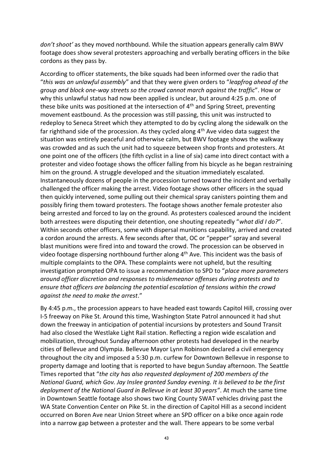*don't shoot'* as they moved northbound. While the situation appears generally calm BWV footage does show several protesters approaching and verbally berating officers in the bike cordons as they pass by.

According to officer statements, the bike squads had been informed over the radio that "*this was an unlawful assembly*" and that they were given orders to "*leapfrog ahead of the group and block one-way streets so the crowd cannot march against the traffic*". How or why this unlawful status had now been applied is unclear, but around 4:25 p.m. one of these bike units was positioned at the intersection of 4<sup>th</sup> and Spring Street, preventing movement eastbound. As the procession was still passing, this unit was instructed to redeploy to Seneca Street which they attempted to do by cycling along the sidewalk on the far righthand side of the procession. As they cycled along 4<sup>th</sup> Ave video data suggest the situation was entirely peaceful and otherwise calm, but BWV footage shows the walkway was crowded and as such the unit had to squeeze between shop fronts and protesters. At one point one of the officers (the fifth cyclist in a line of six) came into direct contact with a protester and video footage shows the officer falling from his bicycle as he began restraining him on the ground. A struggle developed and the situation immediately escalated. Instantaneously dozens of people in the procession turned toward the incident and verbally challenged the officer making the arrest. Video footage shows other officers in the squad then quickly intervened, some pulling out their chemical spray canisters pointing them and possibly firing them toward protesters. The footage shows another female protester also being arrested and forced to lay on the ground. As protesters coalesced around the incident both arrestees were disputing their detention, one shouting repeatedly "*what did I do?*". Within seconds other officers, some with dispersal munitions capability, arrived and created a cordon around the arrests. A few seconds after that, OC or "pepper" spray and several blast munitions were fired into and toward the crowd. The procession can be observed in video footage dispersing northbound further along 4<sup>th</sup> Ave. This incident was the basis of multiple complaints to the OPA. These complaints were not upheld, but the resulting investigation prompted OPA to issue a recommendation to SPD to "*place more parameters around officer discretion and responses to misdemeanor offenses during protests and to ensure that officers are balancing the potential escalation of tensions within the crowd against the need to make the arrest*."

By 4:45 p.m., the procession appears to have headed east towards Capitol Hill, crossing over I-5 freeway on Pike St. Around this time, Washington State Patrol announced it had shut down the freeway in anticipation of potential incursions by protesters and Sound Transit had also closed the Westlake Light Rail station. Reflecting a region wide escalation and mobilization, throughout Sunday afternoon other protests had developed in the nearby cities of Bellevue and Olympia. Bellevue Mayor Lynn Robinson declared a civil emergency throughout the city and imposed a 5:30 p.m. curfew for Downtown Bellevue in response to property damage and looting that is reported to have begun Sunday afternoon. The Seattle Times reported that "*the city has also requested deployment of 200 members of the National Guard, which Gov. Jay Inslee granted Sunday evening. It is believed to be the first deployment of the National Guard in Bellevue in at least 30 years"*. At much the same time in Downtown Seattle footage also shows two King County SWAT vehicles driving past the WA State Convention Center on Pike St. in the direction of Capitol Hill as a second incident occurred on Boren Ave near Union Street where an SPD officer on a bike once again rode into a narrow gap between a protester and the wall. There appears to be some verbal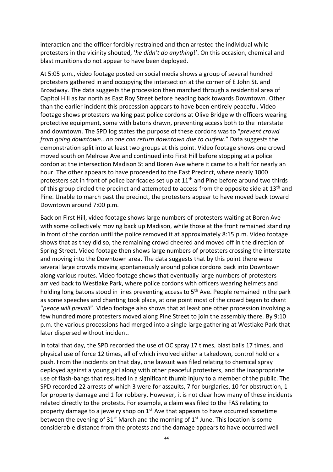interaction and the officer forcibly restrained and then arrested the individual while protesters in the vicinity shouted, '*he didn't do anything*!'. On this occasion, chemical and blast munitions do not appear to have been deployed.

At 5:05 p.m., video footage posted on social media shows a group of several hundred protesters gathered in and occupying the intersection at the corner of E John St. and Broadway. The data suggests the procession then marched through a residential area of Capitol Hill as far north as East Roy Street before heading back towards Downtown. Other than the earlier incident this procession appears to have been entirely peaceful. Video footage shows protesters walking past police cordons at Olive Bridge with officers wearing protective equipment, some with batons drawn, preventing access both to the interstate and downtown. The SPD log states the purpose of these cordons was to "*prevent crowd from going downtown...no one can return downtown due to curfew.*" Data suggests the demonstration split into at least two groups at this point. Video footage shows one crowd moved south on Melrose Ave and continued into First Hill before stopping at a police cordon at the intersection Madison St and Boren Ave where it came to a halt for nearly an hour. The other appears to have proceeded to the East Precinct, where nearly 1000 protesters sat in front of police barricades set up at 11<sup>th</sup> and Pine before around two thirds of this group circled the precinct and attempted to access from the opposite side at 13<sup>th</sup> and Pine. Unable to march past the precinct, the protesters appear to have moved back toward Downtown around 7:00 p.m.

Back on First Hill, video footage shows large numbers of protesters waiting at Boren Ave with some collectively moving back up Madison, while those at the front remained standing in front of the cordon until the police removed it at approximately 8:15 p.m. Video footage shows that as they did so, the remaining crowd cheered and moved off in the direction of Spring Street. Video footage then shows large numbers of protesters crossing the interstate and moving into the Downtown area. The data suggests that by this point there were several large crowds moving spontaneously around police cordons back into Downtown along various routes. Video footage shows that eventually large numbers of protesters arrived back to Westlake Park, where police cordons with officers wearing helmets and holding long batons stood in lines preventing access to 5<sup>th</sup> Ave. People remained in the park as some speeches and chanting took place, at one point most of the crowd began to chant "*peace will prevail*". Video footage also shows that at least one other procession involving a few hundred more protesters moved along Pine Street to join the assembly there. By 9:10 p.m. the various processions had merged into a single large gathering at Westlake Park that later dispersed without incident.

In total that day, the SPD recorded the use of OC spray 17 times, blast balls 17 times, and physical use of force 12 times, all of which involved either a takedown, control hold or a push. From the incidents on that day, one lawsuit was filed relating to chemical spray deployed against a young girl along with other peaceful protesters, and the inappropriate use of flash-bangs that resulted in a significant thumb injury to a member of the public. The SPD recorded 22 arrests of which 3 were for assaults, 7 for burglaries, 10 for obstruction, 1 for property damage and 1 for robbery. However, it is not clear how many of these incidents related directly to the protests. For example, a claim was filed to the FAS relating to property damage to a jewelry shop on  $1<sup>st</sup>$  Ave that appears to have occurred sometime between the evening of  $31^{st}$  March and the morning of  $1^{st}$  June. This location is some considerable distance from the protests and the damage appears to have occurred well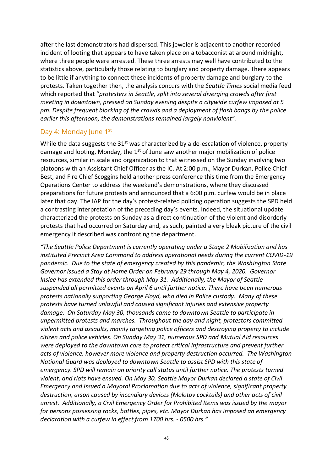after the last demonstrators had dispersed. This jeweler is adjacent to another recorded incident of looting that appears to have taken place on a tobacconist at around midnight, where three people were arrested. These three arrests may well have contributed to the statistics above, particularly those relating to burglary and property damage. There appears to be little if anything to connect these incidents of property damage and burglary to the protests. Taken together then, the analysis concurs with the *Seattle Times* social media feed which reported that "*protesters in Seattle, split into several diverging crowds after first meeting in downtown, pressed on Sunday evening despite a citywide curfew imposed at 5 pm. Despite frequent blocking of the crowds and a deployment of flash bangs by the police earlier this afternoon, the demonstrations remained largely nonviolent*".

#### Day 4: Monday June 1st

While the data suggests the 31<sup>st</sup> was characterized by a de-escalation of violence, property damage and looting, Monday, the 1<sup>st</sup> of June saw another major mobilization of police resources, similar in scale and organization to that witnessed on the Sunday involving two platoons with an Assistant Chief Officer as the IC. At 2:00 p.m., Mayor Durkan, Police Chief Best, and Fire Chief Scoggins held another press conference this time from the Emergency Operations Center to address the weekend's demonstrations, where they discussed preparations for future protests and announced that a 6:00 p.m. curfew would be in place later that day. The IAP for the day's protest-related policing operation suggests the SPD held a contrasting interpretation of the preceding day's events. Indeed, the situational update characterized the protests on Sunday as a direct continuation of the violent and disorderly protests that had occurred on Saturday and, as such, painted a very bleak picture of the civil emergency it described was confronting the department.

*"The Seattle Police Department is currently operating under a Stage 2 Mobilization and has instituted Precinct Area Command to address operational needs during the current COVID-19 pandemic. Due to the state of emergency created by this pandemic, the Washington State Governor issued a Stay at Home Order on February 29 through May 4, 2020. Governor Inslee has extended this order through May 31. Additionally, the Mayor of Seattle suspended all permitted events on April 6 until further notice. There have been numerous protests nationally supporting George Floyd, who died in Police custody. Many of these protests have turned unlawful and caused significant injuries and extensive property damage. On Saturday May 30, thousands came to downtown Seattle to participate in unpermitted protests and marches. Throughout the day and night, protestors committed violent acts and assaults, mainly targeting police officers and destroying property to include citizen and police vehicles. On Sunday May 31, numerous SPD and Mutual Aid resources were deployed to the downtown core to protect critical infrastructure and prevent further acts of violence, however more violence and property destruction occurred. The Washington National Guard was deployed to downtown Seattle to assist SPD with this state of emergency. SPD will remain on priority call status until further notice. The protests turned violent, and riots have ensued. On May 30, Seattle Mayor Durkan declared a state of Civil Emergency and issued a Mayoral Proclamation due to acts of violence, significant property destruction, arson caused by incendiary devices (Molotov cocktails) and other acts of civil unrest. Additionally, a Civil Emergency Order for Prohibited Items was issued by the mayor for persons possessing rocks, bottles, pipes, etc. Mayor Durkan has imposed an emergency declaration with a curfew in effect from 1700 hrs. - 0500 hrs."*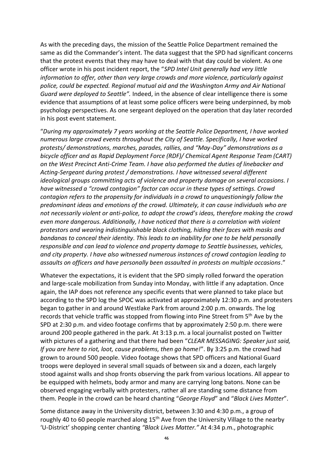As with the preceding days, the mission of the Seattle Police Department remained the same as did the Commander's intent. The data suggest that the SPD had significant concerns that the protest events that they may have to deal with that day could be violent. As one officer wrote in his post incident report, the "*SPD Intel Unit generally had very little information to offer, other than very large crowds and more violence, particularly against police, could be expected. Regional mutual aid and the Washington Army and Air National Guard were deployed to Seattle".* Indeed, in the absence of clear intelligence there is some evidence that assumptions of at least some police officers were being underpinned, by mob psychology perspectives. As one sergeant deployed on the operation that day later recorded in his post event statement.

"*During my approximately 7 years working at the Seattle Police Department, I have worked numerous large crowd events throughout the City of Seattle. Specifically, I have worked protests/ demonstrations, marches, parades, rallies, and "May-Day" demonstrations as a bicycle officer and as Rapid Deployment Force (RDF)/ Chemical Agent Response Team (CART) on the West Precinct Anti-Crime Team. I have also performed the duties of linebacker and Acting-Sergeant during protest / demonstrations. I have witnessed several different ideological groups committing acts of violence and property damage on several occasions. I have witnessed a "crowd contagion" factor can occur in these types of settings. Crowd contagion refers to the propensity for individuals in a crowd to unquestioningly follow the predominant ideas and emotions of the crowd. Ultimately, it can cause individuals who are not necessarily violent or anti-police, to adopt the crowd's ideas, therefore making the crowd even more dangerous. Additionally, I have noticed that there is a correlation with violent protestors and wearing indistinguishable black clothing, hiding their faces with masks and bandanas to conceal their identity. This leads to an inability for one to be held personally responsible and can lead to violence and property damage to Seattle businesses, vehicles, and city property. I have also witnessed numerous instances of crowd contagion leading to assaults on officers and have personally been assaulted in protests on multiple occasions*."

Whatever the expectations, it is evident that the SPD simply rolled forward the operation and large-scale mobilization from Sunday into Monday, with little if any adaptation. Once again, the IAP does not reference any specific events that were planned to take place but according to the SPD log the SPOC was activated at approximately 12:30 p.m. and protesters began to gather in and around Westlake Park from around 2:00 p.m. onwards. The log records that vehicle traffic was stopped from flowing into Pine Street from 5<sup>th</sup> Ave by the SPD at 2:30 p.m. and video footage confirms that by approximately 2:50 p.m. there were around 200 people gathered in the park. At 3:13 p.m. a local journalist posted on Twitter with pictures of a gathering and that there had been "*CLEAR MESSAGING: Speaker just said, If you are here to riot, loot, cause problems, then go home!*". By 3:25 p.m. the crowd had grown to around 500 people. Video footage shows that SPD officers and National Guard troops were deployed in several small squads of between six and a dozen, each largely stood against walls and shop fronts observing the park from various locations. All appear to be equipped with helmets, body armor and many are carrying long batons. None can be observed engaging verbally with protesters, rather all are standing some distance from them. People in the crowd can be heard chanting "*George Floyd*" and "*Black Lives Matter*".

Some distance away in the University district, between 3:30 and 4:30 p.m., a group of roughly 40 to 60 people marched along 15<sup>th</sup> Ave from the University Village to the nearby 'U-District' shopping center chanting *"Black Lives Matter."* At 4:34 p.m., photographic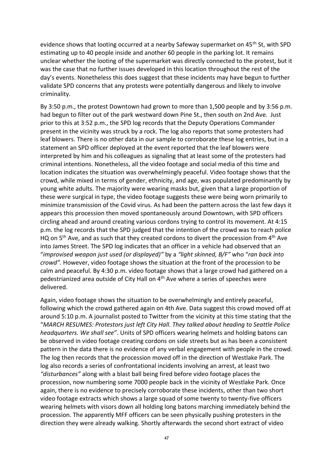evidence shows that looting occurred at a nearby Safeway supermarket on 45<sup>th</sup> St, with SPD estimating up to 40 people inside and another 60 people in the parking lot. It remains unclear whether the looting of the supermarket was directly connected to the protest, but it was the case that no further issues developed in this location throughout the rest of the day's events. Nonetheless this does suggest that these incidents may have begun to further validate SPD concerns that any protests were potentially dangerous and likely to involve criminality.

By 3:50 p.m., the protest Downtown had grown to more than 1,500 people and by 3:56 p.m. had begun to filter out of the park westward down Pine St., then south on 2nd Ave. Just prior to this at 3:52 p.m., the SPD log records that the Deputy Operations Commander present in the vicinity was struck by a rock. The log also reports that some protesters had leaf blowers. There is no other data in our sample to corroborate these log entries, but in a statement an SPD officer deployed at the event reported that the leaf blowers were interpreted by him and his colleagues as signaling that at least some of the protesters had criminal intentions. Nonetheless, all the video footage and social media of this time and location indicates the situation was overwhelmingly peaceful. Video footage shows that the crowd, while mixed in terms of gender, ethnicity, and age, was populated predominantly by young white adults. The majority were wearing masks but, given that a large proportion of these were surgical in type, the video footage suggests these were being worn primarily to minimize transmission of the Covid virus. As had been the pattern across the last few days it appears this procession then moved spontaneously around Downtown, with SPD officers circling ahead and around creating various cordons trying to control its movement. At 4:15 p.m. the log records that the SPD judged that the intention of the crowd was to reach police HQ on 5<sup>th</sup> Ave, and as such that they created cordons to divert the procession from 4<sup>th</sup> Ave into James Street. The SPD log indicates that an officer in a vehicle had observed that an "*improvised weapon just used (or displayed)"* by a *"light skinned, B/F"* who "*ran back into crowd".* However, video footage shows the situation at the front of the procession to be calm and peaceful. By 4:30 p.m. video footage shows that a large crowd had gathered on a pedestrianized area outside of City Hall on 4th Ave where a series of speeches were delivered.

Again, video footage shows the situation to be overwhelmingly and entirely peaceful, following which the crowd gathered again on 4th Ave. Data suggest this crowd moved off at around 5:10 p.m. A journalist posted to Twitter from the vicinity at this time stating that the "*MARCH RESUMES: Protestors just left City Hall. They talked about heading to Seattle Police headquarters. We shall see*". Units of SPD officers wearing helmets and holding batons can be observed in video footage creating cordons on side streets but as has been a consistent pattern in the data there is no evidence of any verbal engagement with people in the crowd. The log then records that the procession moved off in the direction of Westlake Park. The log also records a series of confrontational incidents involving an arrest, at least two *"disturbances"* along with a blast ball being fired before video footage places the procession, now numbering some 7000 people back in the vicinity of Westlake Park. Once again, there is no evidence to precisely corroborate these incidents, other than two short video footage extracts which shows a large squad of some twenty to twenty-five officers wearing helmets with visors down all holding long batons marching immediately behind the procession. The apparently MFF officers can be seen physically pushing protesters in the direction they were already walking. Shortly afterwards the second short extract of video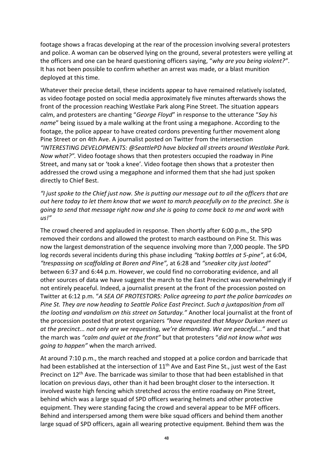footage shows a fracas developing at the rear of the procession involving several protesters and police. A woman can be observed lying on the ground, several protesters were yelling at the officers and one can be heard questioning officers saying, "*why are you being violent?"*. It has not been possible to confirm whether an arrest was made, or a blast munition deployed at this time.

Whatever their precise detail, these incidents appear to have remained relatively isolated, as video footage posted on social media approximately five minutes afterwards shows the front of the procession reaching Westlake Park along Pine Street. The situation appears calm, and protesters are chanting "*George Floyd*" in response to the utterance "*Say his name*" being issued by a male walking at the front using a megaphone. According to the footage, the police appear to have created cordons preventing further movement along Pine Street or on 4th Ave. A journalist posted on Twitter from the intersection *"INTERESTING DEVELOPMENTS: @SeattlePD have blocked all streets around Westlake Park. Now what?".* Video footage shows that then protesters occupied the roadway in Pine Street, and many sat or 'took a knee'. Video footage then shows that a protester then addressed the crowd using a megaphone and informed them that she had just spoken directly to Chief Best.

*"I just spoke to the Chief just now. She is putting our message out to all the officers that are out here today to let them know that we want to march peacefully on to the precinct. She is going to send that message right now and she is going to come back to me and work with us!"* 

The crowd cheered and applauded in response. Then shortly after 6:00 p.m., the SPD removed their cordons and allowed the protest to march eastbound on Pine St. This was now the largest demonstration of the sequence involving more than 7,000 people. The SPD log records several incidents during this phase including *"taking bottles at 5-pine"*, at 6:04, *"trespassing on scaffolding at Boren and Pine",* at 6:28 and *"sneaker city just looted"* between 6:37 and 6:44 p.m. However, we could find no corroborating evidence, and all other sources of data we have suggest the march to the East Precinct was overwhelmingly if not entirely peaceful. Indeed, a journalist present at the front of the procession posted on Twitter at 6:12 p.m. "*A SEA OF PROTESTORS: Police agreeing to part the police barricades on Pine St. They are now heading to Seattle Police East Precinct. Such a juxtaposition from all the looting and vandalism on this street on Saturday."* Another local journalist at the front of the procession posted that protest organizers *"have requested that Mayor Durkan meet us at the precinct... not only are we requesting, we're demanding. We are peaceful..."* and that the march was *"calm and quiet at the front"* but that protesters "*did not know what was going to happen"* when the march arrived.

At around 7:10 p.m., the march reached and stopped at a police cordon and barricade that had been established at the intersection of  $11<sup>th</sup>$  Ave and East Pine St., just west of the East Precinct on  $12<sup>th</sup>$  Ave. The barricade was similar to those that had been established in that location on previous days, other than it had been brought closer to the intersection. It involved waste high fencing which stretched across the entire roadway on Pine Street, behind which was a large squad of SPD officers wearing helmets and other protective equipment. They were standing facing the crowd and several appear to be MFF officers. Behind and interspersed among them were bike squad officers and behind them another large squad of SPD officers, again all wearing protective equipment. Behind them was the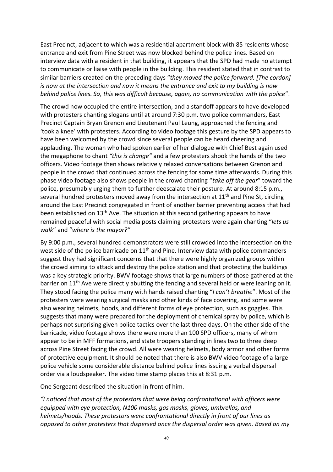East Precinct, adjacent to which was a residential apartment block with 85 residents whose entrance and exit from Pine Street was now blocked behind the police lines. Based on interview data with a resident in that building, it appears that the SPD had made no attempt to communicate or liaise with people in the building. This resident stated that in contrast to similar barriers created on the preceding days "*they moved the police forward. [The cordon] is now at the intersection and now it means the entrance and exit to my building is now behind police lines. So, this was difficult because, again, no communication with the police*".

The crowd now occupied the entire intersection, and a standoff appears to have developed with protesters chanting slogans until at around 7:30 p.m. two police commanders, East Precinct Captain Bryan Grenon and Lieutenant Paul Leung, approached the fencing and 'took a knee' with protesters. According to video footage this gesture by the SPD appears to have been welcomed by the crowd since several people can be heard cheering and applauding. The woman who had spoken earlier of her dialogue with Chief Best again used the megaphone to chant *"this is change"* and a few protesters shook the hands of the two officers. Video footage then shows relatively relaxed conversations between Grenon and people in the crowd that continued across the fencing for some time afterwards. During this phase video footage also shows people in the crowd chanting "*take off the gear*" toward the police, presumably urging them to further deescalate their posture. At around 8:15 p.m., several hundred protesters moved away from the intersection at  $11<sup>th</sup>$  and Pine St, circling around the East Precinct congregated in front of another barrier preventing access that had been established on 13<sup>th</sup> Ave. The situation at this second gathering appears to have remained peaceful with social media posts claiming protesters were again chanting "*lets us walk*" and "*where is the mayor?"*

By 9:00 p.m., several hundred demonstrators were still crowded into the intersection on the west side of the police barricade on 11<sup>th</sup> and Pine. Interview data with police commanders suggest they had significant concerns that that there were highly organized groups within the crowd aiming to attack and destroy the police station and that protecting the buildings was a key strategic priority. BWV footage shows that large numbers of those gathered at the barrier on 11<sup>th</sup> Ave were directly abutting the fencing and several held or were leaning on it. They stood facing the police many with hands raised chanting "*I can't breathe*". Most of the protesters were wearing surgical masks and other kinds of face covering, and some were also wearing helmets, hoods, and different forms of eye protection, such as goggles. This suggests that many were prepared for the deployment of chemical spray by police, which is perhaps not surprising given police tactics over the last three days. On the other side of the barricade, video footage shows there were more than 100 SPD officers, many of whom appear to be in MFF formations, and state troopers standing in lines two to three deep across Pine Street facing the crowd. All were wearing helmets, body armor and other forms of protective equipment. It should be noted that there is also BWV video footage of a large police vehicle some considerable distance behind police lines issuing a verbal dispersal order via a loudspeaker. The video time stamp places this at 8:31 p.m.

One Sergeant described the situation in front of him.

*"I noticed that most of the protestors that were being confrontational with officers were equipped with eye protection, N100 masks, gas masks, gloves, umbrellas, and helmets/hoods. These protestors were confrontational directly in front of our lines as opposed to other protesters that dispersed once the dispersal order was given. Based on my*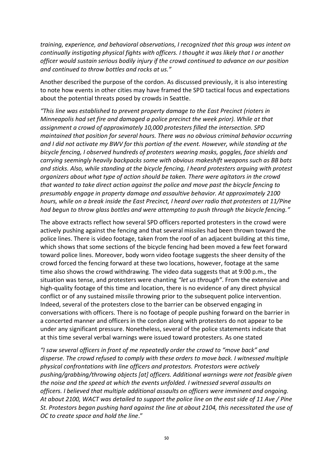*training, experience, and behavioral observations, I recognized that this group was intent on continually instigating physical fights with officers. I thought it was likely that I or another officer would sustain serious bodily injury if the crowd continued to advance on our position and continued to throw bottles and rocks at us."*

Another described the purpose of the cordon. As discussed previously, it is also interesting to note how events in other cities may have framed the SPD tactical focus and expectations about the potential threats posed by crowds in Seattle.

*"This line was established to prevent property damage to the East Precinct (rioters in Minneapolis had set fire and damaged a police precinct the week prior). While at that assignment a crowd of approximately 10,000 protesters filled the intersection. SPD maintained that position for several hours. There was no obvious criminal behavior occurring and I did not activate my BWV for this portion of the event. However, while standing at the bicycle fencing, I observed hundreds of protesters wearing masks, goggles, face shields and carrying seemingly heavily backpacks some with obvious makeshift weapons such as BB bats and sticks. Also, while standing at the bicycle fencing, I heard protesters arguing with protest organizers about what type of action should be taken. There were agitators in the crowd that wanted to take direct action against the police and move past the bicycle fencing to presumably engage in property damage and assaultive behavior. At approximately 2100 hours, while on a break inside the East Precinct, I heard over radio that protesters at 11/Pine had begun to throw glass bottles and were attempting to push through the bicycle fencing."*

The above extracts reflect how several SPD officers reported protesters in the crowd were actively pushing against the fencing and that several missiles had been thrown toward the police lines. There is video footage, taken from the roof of an adjacent building at this time, which shows that some sections of the bicycle fencing had been moved a few feet forward toward police lines. Moreover, body worn video footage suggests the sheer density of the crowd forced the fencing forward at these two locations, however, footage at the same time also shows the crowd withdrawing. The video data suggests that at 9:00 p.m., the situation was tense, and protesters were chanting *"let us through"*. From the extensive and high-quality footage of this time and location, there is no evidence of any direct physical conflict or of any sustained missile throwing prior to the subsequent police intervention. Indeed, several of the protesters close to the barrier can be observed engaging in conversations with officers. There is no footage of people pushing forward on the barrier in a concerted manner and officers in the cordon along with protesters do not appear to be under any significant pressure. Nonetheless, several of the police statements indicate that at this time several verbal warnings were issued toward protesters. As one stated

*"I saw several officers in front of me repeatedly order the crowd to "move back" and disperse. The crowd refused to comply with these orders to move back. I witnessed multiple physical confrontations with line officers and protestors. Protestors were actively pushing/grabbing/throwing objects [at] officers. Additional warnings were not feasible given the noise and the speed at which the events unfolded. I witnessed several assaults on officers. I believed that multiple additional assaults on officers were imminent and ongoing. At about 2100, WACT was detailed to support the police line on the east side of 11 Ave / Pine St. Protestors began pushing hard against the line at about 2104, this necessitated the use of OC to create space and hold the line*."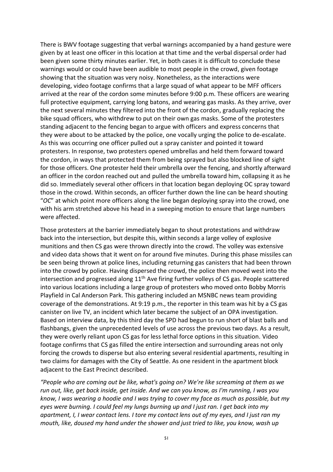There is BWV footage suggesting that verbal warnings accompanied by a hand gesture were given by at least one officer in this location at that time and the verbal dispersal order had been given some thirty minutes earlier. Yet, in both cases it is difficult to conclude these warnings would or could have been audible to most people in the crowd, given footage showing that the situation was very noisy. Nonetheless, as the interactions were developing, video footage confirms that a large squad of what appear to be MFF officers arrived at the rear of the cordon some minutes before 9:00 p.m. These officers are wearing full protective equipment, carrying long batons, and wearing gas masks. As they arrive, over the next several minutes they filtered into the front of the cordon, gradually replacing the bike squad officers, who withdrew to put on their own gas masks. Some of the protesters standing adjacent to the fencing began to argue with officers and express concerns that they were about to be attacked by the police, one vocally urging the police to de-escalate. As this was occurring one officer pulled out a spray canister and pointed it toward protesters. In response, two protesters opened umbrellas and held them forward toward the cordon, in ways that protected them from being sprayed but also blocked line of sight for those officers. One protester held their umbrella over the fencing, and shortly afterward an officer in the cordon reached out and pulled the umbrella toward him, collapsing it as he did so. Immediately several other officers in that location began deploying OC spray toward those in the crowd. Within seconds, an officer further down the line can be heard shouting "*OC*" at which point more officers along the line began deploying spray into the crowd, one with his arm stretched above his head in a sweeping motion to ensure that large numbers were affected.

Those protesters at the barrier immediately began to shout protestations and withdraw back into the intersection, but despite this, within seconds a large volley of explosive munitions and then CS gas were thrown directly into the crowd. The volley was extensive and video data shows that it went on for around five minutes. During this phase missiles can be seen being thrown at police lines, including returning gas canisters that had been thrown into the crowd by police. Having dispersed the crowd, the police then moved west into the intersection and progressed along  $11<sup>th</sup>$  Ave firing further volleys of CS gas. People scattered into various locations including a large group of protesters who moved onto Bobby Morris Playfield in Cal Anderson Park. This gathering included an MSNBC news team providing coverage of the demonstrations. At 9:19 p.m., the reporter in this team was hit by a CS gas canister on live TV, an incident which later became the subject of an OPA investigation. Based on interview data, by this third day the SPD had begun to run short of blast balls and flashbangs, given the unprecedented levels of use across the previous two days. As a result, they were overly reliant upon CS gas for less lethal force options in this situation. Video footage confirms that CS gas filled the entire intersection and surrounding areas not only forcing the crowds to disperse but also entering several residential apartments, resulting in two claims for damages with the City of Seattle. As one resident in the apartment block adjacent to the East Precinct described.

*"People who are coming out be like, what's going on? We're like screaming at them as we run out, like, get back inside, get inside. And we can you know, as I'm running, I was you know, I was wearing a hoodie and I was trying to cover my face as much as possible, but my eyes were burning. I could feel my lungs burning up and I just ran. I get back into my apartment, I, I wear contact lens. I tore my contact lens out of my eyes, and I just ran my mouth, like, doused my hand under the shower and just tried to like, you know, wash up*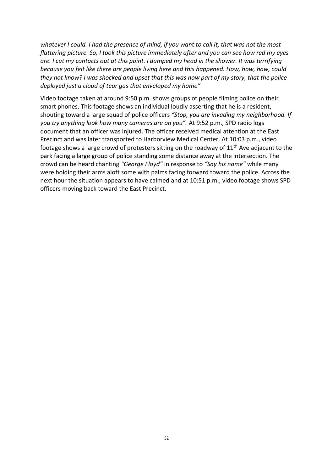*whatever I could. I had the presence of mind, if you want to call it, that was not the most flattering picture. So, I took this picture immediately after and you can see how red my eyes are. I cut my contacts out at this point. I dumped my head in the shower. It was terrifying because you felt like there are people living here and this happened. How, how, how, could they not know? I was shocked and upset that this was now part of my story, that the police deployed just a cloud of tear gas that enveloped my home"*

Video footage taken at around 9:50 p.m. shows groups of people filming police on their smart phones. This footage shows an individual loudly asserting that he is a resident, shouting toward a large squad of police officers *"Stop, you are invading my neighborhood. If you try anything look how many cameras are on you".* At 9:52 p.m., SPD radio logs document that an officer was injured. The officer received medical attention at the East Precinct and was later transported to Harborview Medical Center. At 10:03 p.m., video footage shows a large crowd of protesters sitting on the roadway of  $11<sup>th</sup>$  Ave adjacent to the park facing a large group of police standing some distance away at the intersection. The crowd can be heard chanting *"George Floyd"* in response to *"Say his name"* while many were holding their arms aloft some with palms facing forward toward the police. Across the next hour the situation appears to have calmed and at 10:51 p.m., video footage shows SPD officers moving back toward the East Precinct.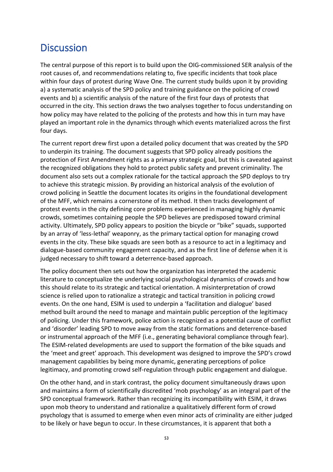## **Discussion**

The central purpose of this report is to build upon the OIG-commissioned SER analysis of the root causes of, and recommendations relating to, five specific incidents that took place within four days of protest during Wave One. The current study builds upon it by providing a) a systematic analysis of the SPD policy and training guidance on the policing of crowd events and b) a scientific analysis of the nature of the first four days of protests that occurred in the city. This section draws the two analyses together to focus understanding on how policy may have related to the policing of the protests and how this in turn may have played an important role in the dynamics through which events materialized across the first four days.

The current report drew first upon a detailed policy document that was created by the SPD to underpin its training. The document suggests that SPD policy already positions the protection of First Amendment rights as a primary strategic goal, but this is caveated against the recognized obligations they hold to protect public safety and prevent criminality. The document also sets out a complex rationale for the tactical approach the SPD deploys to try to achieve this strategic mission. By providing an historical analysis of the evolution of crowd policing in Seattle the document locates its origins in the foundational development of the MFF, which remains a cornerstone of its method. It then tracks development of protest events in the city defining core problems experienced in managing highly dynamic crowds, sometimes containing people the SPD believes are predisposed toward criminal activity. Ultimately, SPD policy appears to position the bicycle or "bike" squads, supported by an array of 'less-lethal' weaponry, as the primary tactical option for managing crowd events in the city. These bike squads are seen both as a resource to act in a legitimacy and dialogue-based community engagement capacity, and as the first line of defense when it is judged necessary to shift toward a deterrence-based approach.

The policy document then sets out how the organization has interpreted the academic literature to conceptualize the underlying social psychological dynamics of crowds and how this should relate to its strategic and tactical orientation. A misinterpretation of crowd science is relied upon to rationalize a strategic and tactical transition in policing crowd events. On the one hand, ESIM is used to underpin a 'facilitation and dialogue' based method built around the need to manage and maintain public perception of the legitimacy of policing. Under this framework, police action is recognized as a potential cause of conflict and 'disorder' leading SPD to move away from the static formations and deterrence-based or instrumental approach of the MFF (i.e., generating behavioral compliance through fear). The ESIM-related developments are used to support the formation of the bike squads and the 'meet and greet' approach. This development was designed to improve the SPD's crowd management capabilities by being more dynamic, generating perceptions of police legitimacy, and promoting crowd self-regulation through public engagement and dialogue.

On the other hand, and in stark contrast, the policy document simultaneously draws upon and maintains a form of scientifically discredited 'mob psychology' as an integral part of the SPD conceptual framework. Rather than recognizing its incompatibility with ESIM, it draws upon mob theory to understand and rationalize a qualitatively different form of crowd psychology that is assumed to emerge when even minor acts of criminality are either judged to be likely or have begun to occur. In these circumstances, it is apparent that both a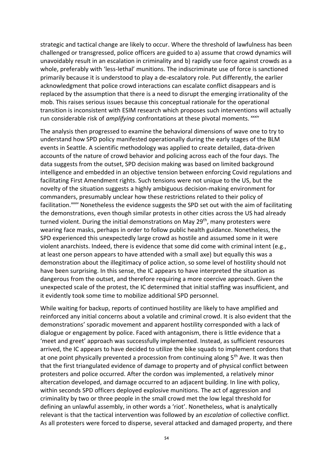strategic and tactical change are likely to occur. Where the threshold of lawfulness has been challenged or transgressed, police officers are guided to a) assume that crowd dynamics will unavoidably result in an escalation in criminality and b) rapidly use force against crowds as a whole, preferably with 'less-lethal' munitions. The indiscriminate use of force is sanctioned primarily because it is understood to play a de-escalatory role. Put differently, the earlier acknowledgment that police crowd interactions can escalate conflict disappears and is replaced by the assumption that there is a need to disrupt the emerging irrationality of the mob. This raises serious issues because this conceptual rationale for the operational transition is inconsistent with ESIM research which proposes such interventions will actually run considerable risk of *amplifying* confrontations at these pivotal moments.<sup>xxxiv</sup>

The analysis then progressed to examine the behavioral dimensions of wave one to try to understand how SPD policy manifested operationally during the early stages of the BLM events in Seattle. A scientific methodology was applied to create detailed, data-driven accounts of the nature of crowd behavior and policing across each of the four days. The data suggests from the outset, SPD decision making was based on limited background intelligence and embedded in an objective tension between enforcing Covid regulations and facilitating First Amendment rights. Such tensions were not unique to the US, but the novelty of the situation suggests a highly ambiguous decision-making environment for commanders, presumably unclear how these restrictions related to their policy of facilitation.<sup>xxxv</sup> Nonetheless the evidence suggests the SPD set out with the aim of facilitating the demonstrations, even though similar protests in other cities across the US had already turned violent. During the initial demonstrations on May 29<sup>th</sup>, many protesters were wearing face masks, perhaps in order to follow public health guidance. Nonetheless, the SPD experienced this unexpectedly large crowd as hostile and assumed some in it were violent anarchists. Indeed, there is evidence that some did come with criminal intent (e.g., at least one person appears to have attended with a small axe) but equally this was a demonstration about the illegitimacy of police action, so some level of hostility should not have been surprising. In this sense, the IC appears to have interpreted the situation as dangerous from the outset, and therefore requiring a more coercive approach. Given the unexpected scale of the protest, the IC determined that initial staffing was insufficient, and it evidently took some time to mobilize additional SPD personnel.

While waiting for backup, reports of continued hostility are likely to have amplified and reinforced any initial concerns about a volatile and criminal crowd. It is also evident that the demonstrations' sporadic movement and apparent hostility corresponded with a lack of dialogue or engagement by police. Faced with antagonism, there is little evidence that a 'meet and greet' approach was successfully implemented. Instead, as sufficient resources arrived, the IC appears to have decided to utilize the bike squads to implement cordons that at one point physically prevented a procession from continuing along 5<sup>th</sup> Ave. It was then that the first triangulated evidence of damage to property and of physical conflict between protesters and police occurred. After the cordon was implemented, a relatively minor altercation developed, and damage occurred to an adjacent building. In line with policy, within seconds SPD officers deployed explosive munitions. The act of aggression and criminality by two or three people in the small crowd met the low legal threshold for defining an unlawful assembly, in other words a 'riot'. Nonetheless, what is analytically relevant is that the tactical intervention was followed by an *escalation* of collective conflict. As all protesters were forced to disperse, several attacked and damaged property, and there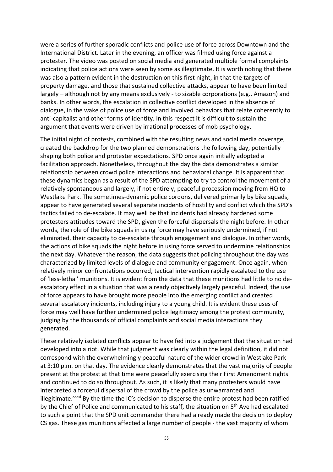were a series of further sporadic conflicts and police use of force across Downtown and the International District. Later in the evening, an officer was filmed using force against a protester. The video was posted on social media and generated multiple formal complaints indicating that police actions were seen by some as illegitimate. It is worth noting that there was also a pattern evident in the destruction on this first night, in that the targets of property damage, and those that sustained collective attacks, appear to have been limited largely – although not by any means exclusively - to sizable corporations (e.g., Amazon) and banks. In other words, the escalation in collective conflict developed in the absence of dialogue, in the wake of police use of force and involved behaviors that relate coherently to anti-capitalist and other forms of identity. In this respect it is difficult to sustain the argument that events were driven by irrational processes of mob psychology.

The initial night of protests, combined with the resulting news and social media coverage, created the backdrop for the two planned demonstrations the following day, potentially shaping both police and protester expectations. SPD once again initially adopted a facilitation approach. Nonetheless, throughout the day the data demonstrates a similar relationship between crowd police interactions and behavioral change. It is apparent that these dynamics began as a result of the SPD attempting to try to control the movement of a relatively spontaneous and largely, if not entirely, peaceful procession moving from HQ to Westlake Park. The sometimes-dynamic police cordons, delivered primarily by bike squads, appear to have generated several separate incidents of hostility and conflict which the SPD's tactics failed to de-escalate. It may well be that incidents had already hardened some protesters attitudes toward the SPD, given the forceful dispersals the night before. In other words, the role of the bike squads in using force may have seriously undermined, if not eliminated, their capacity to de-escalate through engagement and dialogue. In other words, the actions of bike squads the night before in using force served to undermine relationships the next day. Whatever the reason, the data suggests that policing throughout the day was characterized by limited levels of dialogue and community engagement. Once again, when relatively minor confrontations occurred, tactical intervention rapidly escalated to the use of 'less-lethal' munitions. It is evident from the data that these munitions had little to no deescalatory effect in a situation that was already objectively largely peaceful. Indeed, the use of force appears to have brought more people into the emerging conflict and created several escalatory incidents, including injury to a young child. It is evident these uses of force may well have further undermined police legitimacy among the protest community, judging by the thousands of official complaints and social media interactions they generated.

These relatively isolated conflicts appear to have fed into a judgement that the situation had developed into a riot. While that judgment was clearly within the legal definition, it did not correspond with the overwhelmingly peaceful nature of the wider crowd in Westlake Park at 3:10 p.m. on that day. The evidence clearly demonstrates that the vast majority of people present at the protest at that time were peacefully exercising their First Amendment rights and continued to do so throughout. As such, it is likely that many protesters would have interpreted a forceful dispersal of the crowd by the police as unwarranted and illegitimate.<sup>xxxvi</sup> By the time the IC's decision to disperse the entire protest had been ratified by the Chief of Police and communicated to his staff, the situation on 5<sup>th</sup> Ave had escalated to such a point that the SPD unit commander there had already made the decision to deploy CS gas. These gas munitions affected a large number of people - the vast majority of whom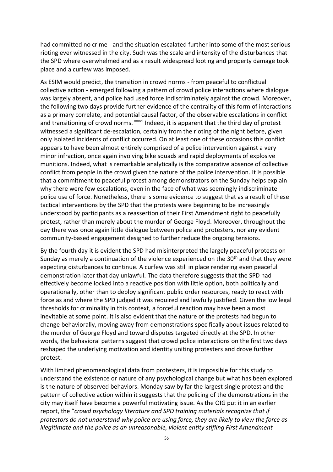had committed no crime - and the situation escalated further into some of the most serious rioting ever witnessed in the city. Such was the scale and intensity of the disturbances that the SPD where overwhelmed and as a result widespread looting and property damage took place and a curfew was imposed.

As ESIM would predict, the transition in crowd norms - from peaceful to conflictual collective action - emerged following a pattern of crowd police interactions where dialogue was largely absent, and police had used force indiscriminately against the crowd. Moreover, the following two days provide further evidence of the centrality of this form of interactions as a primary correlate, and potential causal factor, of the observable escalations in conflict and transitioning of crowd norms. <sup>xxxvii</sup> Indeed, it is apparent that the third day of protest witnessed a significant de-escalation, certainly from the rioting of the night before, given only isolated incidents of conflict occurred. On at least one of these occasions this conflict appears to have been almost entirely comprised of a police intervention against a very minor infraction, once again involving bike squads and rapid deployments of explosive munitions. Indeed, what is remarkable analytically is the comparative absence of collective conflict from people in the crowd given the nature of the police intervention. It is possible that a commitment to peaceful protest among demonstrators on the Sunday helps explain why there were few escalations, even in the face of what was seemingly indiscriminate police use of force. Nonetheless, there is some evidence to suggest that as a result of these tactical interventions by the SPD that the protests were beginning to be increasingly understood by participants as a reassertion of their First Amendment right to peacefully protest, rather than merely about the murder of George Floyd. Moreover, throughout the day there was once again little dialogue between police and protesters, nor any evident community-based engagement designed to further reduce the ongoing tensions.

By the fourth day it is evident the SPD had misinterpreted the largely peaceful protests on Sunday as merely a continuation of the violence experienced on the  $30<sup>th</sup>$  and that they were expecting disturbances to continue. A curfew was still in place rendering even peaceful demonstration later that day unlawful. The data therefore suggests that the SPD had effectively become locked into a reactive position with little option, both politically and operationally, other than to deploy significant public order resources, ready to react with force as and where the SPD judged it was required and lawfully justified. Given the low legal thresholds for criminality in this context, a forceful reaction may have been almost inevitable at some point. It is also evident that the nature of the protests had begun to change behaviorally, moving away from demonstrations specifically about issues related to the murder of George Floyd and toward disputes targeted directly at the SPD. In other words, the behavioral patterns suggest that crowd police interactions on the first two days reshaped the underlying motivation and identity uniting protesters and drove further protest.

With limited phenomenological data from protesters, it is impossible for this study to understand the existence or nature of any psychological change but what has been explored is the nature of observed behaviors. Monday saw by far the largest single protest and the pattern of collective action within it suggests that the policing of the demonstrations in the city may itself have become a powerful motivating issue. As the OIG put it in an earlier report, the "*crowd psychology literature and SPD training materials recognize that if protestors do not understand why police are using force, they are likely to view the force as illegitimate and the police as an unreasonable, violent entity stifling First Amendment*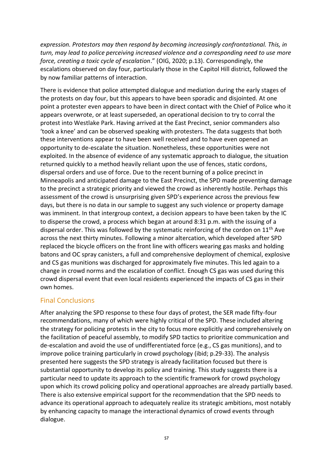*expression. Protestors may then respond by becoming increasingly confrontational. This, in turn, may lead to police perceiving increased violence and a corresponding need to use more force, creating a toxic cycle of escalation*." (OIG, 2020; p.13). Correspondingly, the escalations observed on day four, particularly those in the Capitol Hill district, followed the by now familiar patterns of interaction.

There is evidence that police attempted dialogue and mediation during the early stages of the protests on day four, but this appears to have been sporadic and disjointed. At one point a protester even appears to have been in direct contact with the Chief of Police who it appears overwrote, or at least superseded, an operational decision to try to corral the protest into Westlake Park. Having arrived at the East Precinct, senior commanders also 'took a knee' and can be observed speaking with protesters. The data suggests that both these interventions appear to have been well received and to have even opened an opportunity to de-escalate the situation. Nonetheless, these opportunities were not exploited. In the absence of evidence of any systematic approach to dialogue, the situation returned quickly to a method heavily reliant upon the use of fences, static cordons, dispersal orders and use of force. Due to the recent burning of a police precinct in Minneapolis and anticipated damage to the East Precinct, the SPD made preventing damage to the precinct a strategic priority and viewed the crowd as inherently hostile. Perhaps this assessment of the crowd is unsurprising given SPD's experience across the previous few days, but there is no data in our sample to suggest any such violence or property damage was imminent. In that intergroup context, a decision appears to have been taken by the IC to disperse the crowd, a process which began at around 8:31 p.m. with the issuing of a dispersal order. This was followed by the systematic reinforcing of the cordon on 11<sup>th</sup> Ave across the next thirty minutes. Following a minor altercation, which developed after SPD replaced the bicycle officers on the front line with officers wearing gas masks and holding batons and OC spray canisters, a full and comprehensive deployment of chemical, explosive and CS gas munitions was discharged for approximately five minutes. This led again to a change in crowd norms and the escalation of conflict. Enough CS gas was used during this crowd dispersal event that even local residents experienced the impacts of CS gas in their own homes.

### Final Conclusions

After analyzing the SPD response to these four days of protest, the SER made fifty-four recommendations, many of which were highly critical of the SPD. These included altering the strategy for policing protests in the city to focus more explicitly and comprehensively on the facilitation of peaceful assembly, to modify SPD tactics to prioritize communication and de-escalation and avoid the use of undifferentiated force (e.g., CS gas munitions), and to improve police training particularly in crowd psychology (ibid; p.29-33). The analysis presented here suggests the SPD strategy is already facilitation focused but there is substantial opportunity to develop its policy and training. This study suggests there is a particular need to update its approach to the scientific framework for crowd psychology upon which its crowd policing policy and operational approaches are already partially based. There is also extensive empirical support for the recommendation that the SPD needs to advance its operational approach to adequately realize its strategic ambitions, most notably by enhancing capacity to manage the interactional dynamics of crowd events through dialogue.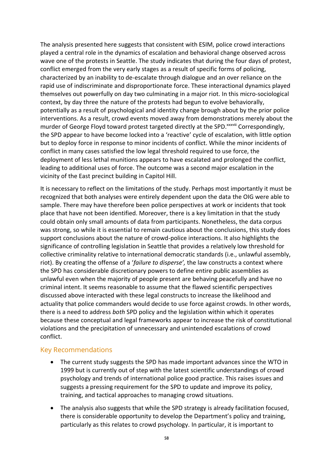The analysis presented here suggests that consistent with ESIM, police crowd interactions played a central role in the dynamics of escalation and behavioral change observed across wave one of the protests in Seattle. The study indicates that during the four days of protest, conflict emerged from the very early stages as a result of specific forms of policing, characterized by an inability to de-escalate through dialogue and an over reliance on the rapid use of indiscriminate and disproportionate force. These interactional dynamics played themselves out powerfully on day two culminating in a major riot. In this micro-sociological context, by day three the nature of the protests had begun to evolve behaviorally, potentially as a result of psychological and identity change brough about by the prior police interventions. As a result, crowd events moved away from demonstrations merely about the murder of George Floyd toward protest targeted directly at the SPD.<sup>xxxviii</sup> Correspondingly, the SPD appear to have become locked into a 'reactive' cycle of escalation, with little option but to deploy force in response to minor incidents of conflict. While the minor incidents of conflict in many cases satisfied the low legal threshold required to use force, the deployment of less lethal munitions appears to have escalated and prolonged the conflict, leading to additional uses of force. The outcome was a second major escalation in the vicinity of the East precinct building in Capitol Hill.

It is necessary to reflect on the limitations of the study. Perhaps most importantly it must be recognized that both analyses were entirely dependent upon the data the OIG were able to sample. There may have therefore been police perspectives at work or incidents that took place that have not been identified. Moreover, there is a key limitation in that the study could obtain only small amounts of data from participants. Nonetheless, the data corpus was strong, so while it is essential to remain cautious about the conclusions, this study does support conclusions about the nature of crowd-police interactions. It also highlights the significance of controlling legislation in Seattle that provides a relatively low threshold for collective criminality relative to international democratic standards (i.e., unlawful assembly, riot). By creating the offense of a '*failure to disperse',* the law constructs a context where the SPD has considerable discretionary powers to define entire public assemblies as unlawful even when the majority of people present are behaving peacefully and have no criminal intent. It seems reasonable to assume that the flawed scientific perspectives discussed above interacted with these legal constructs to increase the likelihood and actuality that police commanders would decide to use force against crowds. In other words, there is a need to address *both* SPD policy and the legislation within which it operates because these conceptual and legal frameworks appear to increase the risk of constitutional violations and the precipitation of unnecessary and unintended escalations of crowd conflict.

#### Key Recommendations

- The current study suggests the SPD has made important advances since the WTO in 1999 but is currently out of step with the latest scientific understandings of crowd psychology and trends of international police good practice. This raises issues and suggests a pressing requirement for the SPD to update and improve its policy, training, and tactical approaches to managing crowd situations.
- The analysis also suggests that while the SPD strategy is already facilitation focused, there is considerable opportunity to develop the Department's policy and training, particularly as this relates to crowd psychology. In particular, it is important to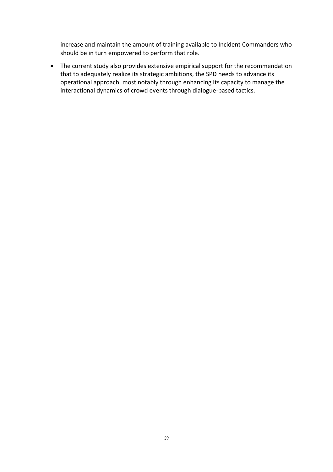increase and maintain the amount of training available to Incident Commanders who should be in turn empowered to perform that role.

• The current study also provides extensive empirical support for the recommendation that to adequately realize its strategic ambitions, the SPD needs to advance its operational approach, most notably through enhancing its capacity to manage the interactional dynamics of crowd events through dialogue-based tactics.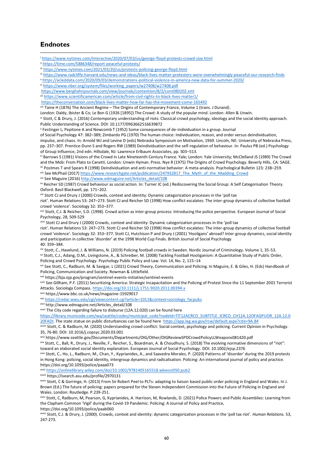#### **Endnotes**

i<https://www.nytimes.com/interactive/2020/07/03/us/george-floyd-protests-crowd-size.html>

- ii <https://time.com/5886348/report-peaceful-protests/>
- iii <https://www.nytimes.com/2021/03/20/us/protests-policing-george-floyd.html>
- iv <https://www.radcliffe.harvard.edu/news-and-ideas/black-lives-matter-protesters-were-overwhelmingly-peaceful-our-research-finds>
- <sup>v</sup> <https://acleddata.com/2020/09/03/demonstrations-political-violence-in-america-new-data-for-summer-2020/>
- vi [https://www.nber.org/system/files/working\\_papers/w27408/w27408.pdf](https://www.nber.org/system/files/working_papers/w27408/w27408.pdf)
- <https://www.berghahnjournals.com/view/journals/contention/8/2/cont080202.xml>
- vii <https://www.scientificamerican.com/article/from-civil-rights-to-black-lives-matter1/>

<https://theconversation.com/black-lives-matter-how-far-has-the-movement-come-165492>

viii Taine H (1876) The Ancient Regime – The Origins of Contemporary France, Volume 1 (trans. J Durand).

London: Daldy, Ibister & Co; Le Bon G (1926 [1895]) The Crowd: A study of the popular mind. London: Allen & Unwin.

ix Stott, C & Drury, J. (2016) Contemporary understanding of riots: Classical crowd psychology, ideology and the social identity approach. Public Understanding of Science. DOI: 10.1177/0963662516639872

<sup>x</sup> Festinger L, Pepitone A and Newcomb T (1952) Some consequences of de-individuation in a group. Journal

of Social Psychology 47: 382–389; Zimbardo PG (1970) The human choice: Individuation, reason, and order versus deindividuation,

impulse, and chaos. In: Arnold WJ and Levine D (eds) Nebraska Symposium on Motivation, 1969. Lincoln, NE: University of Nebraska Press, pp. 237–307. Prentice-Dunn S and Rogers RW (1989) Deindividuation and the self-regulation of behaviour. In: Paulus PB (ed.) Psychology of Group Influence, 2nd edn. Hillsdale, NJ: Lawrence Erlbaum Associates, pp. 503–513.

xi Barrows S (1981) Visions of the Crowd in Late Nineteenth Century France. Yale; London: Yale University; McClelland JS (1989) The Crowd and the Mob: From Plato to Canetti. London: Unwin Hyman. Press. Nye R (1975) The Origins of Crowd Psychology. Beverly Hills, CA: SAGE. xii Postmes T and Spears R (1998) Deindividuation and anti-normative behavior: A meta-analysis. Psychological Bulletin 123: 238–259.

xiii See McPhail (2017[\) https://www.researchgate.net/publication/247932817\\_The\\_Myth\\_of\\_the\\_Madding\\_Crowd](https://www.researchgate.net/publication/247932817_The_Myth_of_the_Madding_Crowd)

xiv See Maguire (2016) [http://www.edmaguire.net/Articles\\_detail/108](http://www.edmaguire.net/Articles_detail/108)

xv Reicher SD (1987) Crowd behaviour as social action. In: Turner JC (ed.) Rediscovering the Social Group: A Self Categorisation Theory. Oxford: Basil Blackwell, pp. 171–202.

xvi Stott CJ and Drury J (2000) Crowds, context and identity: Dynamic categorization processes in the 'poll tax

riot'. Human Relations 53: 247–273. Stott CJ and Reicher SD (1998) How conflict escalates: The inter-group dynamics of collective football crowd 'violence'. Sociology 32: 353–377.

xvii Stott, C.J. & Reicher, S.D. (1998). Crowd action as inter-group process: Introducing the police perspective. European Journal of Social Psychology, 28, 509-529

xviii Stott CJ and Drury J (2000) Crowds, context and identity: Dynamic categorization processes in the 'poll tax

riot'. Human Relations 53: 247–273. Stott CJ and Reicher SD (1998) How conflict escalates: The inter-group dynamics of collective football crowd 'violence'. Sociology 32: 353–377. Stott CJ, Hutchison P and Drury J (2001) 'Hooligans' abroad? Inter-group dynamics, social identity and participation in collective 'disorder' at the 1998 World Cup Finals. British Journal of Social Psychology 40: 359–384.

xix Stott, C., Havelund, J. & Williams, N. (2019) Policing football crowds in Sweden. Nordic Journal of Criminology. Volume 1, 35-53. xx Stott, C.J., Adang, O.M., Livingstone, A., & Schreiber, M. (2008) Tackling Football Hooliganism: A Quantitative Study of Public Order, Policing and Crowd Psychology. Psychology Public Policy and Law. Vol. 14, No. 2, 115–14

xxi See Stott, C., Radburn, M. & Savigar, L (2021) Crowd Theory, Communication and Policing. In Maguire, E. & Giles, H. (Eds) Handbook of Policing, Communication and Society. Rowman & Littlefield.

xxii https://bja.ojp.gov/program/sentinel-events-initiative/sentinel-events

xxiii See Gillham, P.F. (2011) Securitizing America: Strategic Incapacitation and the Policing of Protest Since the 11 September 2001 Terrorist Attacks. Sociology Compass[. https://doi.org/10.1111/j.1751-9020.2011.00394.x](https://doi.org/10.1111/j.1751-9020.2011.00394.x)

xxiv https://www.bbc.co.uk/news/magazine-15929017

xxv [https://cedar.wwu.edu/cgi/viewcontent.cgi?article=1011&context=sociology\\_facpubs](https://cedar.wwu.edu/cgi/viewcontent.cgi?article=1011&context=sociology_facpubs)

xxvi http://www.edmaguire.net/Articles\_detail/108

xxvii The City code regarding failure to disburse (12A.12.020) can be found here

```
https://library.municode.com/wa/seattle/codes/municipal_code?nodeId=TIT12ACRCO_SUBTITLE_ICRCO_CH12A.12OFAGPUOR_12A.12.0
20FADI. The state statue on public disturbances can be found here https://app.leg.wa.gov/rcw/default.aspx?cite=9A.84
```
xxviii Stott, C. & Radburn, M. (2020) Understanding crowd conflict: Social context, psychology and policing. Current Opinion in Psychology. 35, 76-80. DOI: 10.1016/j.copsyc.2020.03.001

xxix https://www.seattle.gov/Documents/Departments/OIG/Other/OIGReviewSPDCrowdPolicyLLWeapons081420.pdf

xxx Stott, C., Ball, R., Drury, J., Neville, F., Reicher, S., Boardman, A. & Choudhury, S. (2018) The evolving normative dimensions of "riot": toward an elaborated social identity explanation. European Journal of Social Psychology. DOI: 10.1002/ejsp.2376

xxxi Stott, C., Ho, L., Radburn, M., Chan, Y., Kyprianides, A., and Saavedra Morales, P. (2020) Patterns of 'disorder' during the 2019 protests in Hong Kong: policing, social identity, intergroup dynamics and radicalisation. Policing: An international journal of policy and practice. https://doi.org/10.1093/police/paaa073

xxxii <https://onlinelibrary.wiley.com/doi/10.1002/9781405165518.wbeost050.pub2>

xxxiii https://isearch.asu.edu/profile/2970131

xxxiv Stott, C & Gorringe, H. (2013) From Sir Robert Peel to PLTs: adapting to liaison based public order policing in England and Wales. In J. Brown (Ed.) The future of policing: papers prepared for the Steven Independent Commission into the Future of Policing in England and Wales. London: Routledge. P.239-251.

xxxv Stott, C, Radburn, M, Pearson, G, Kyprianides, A. Harrison, M, Rowlands, D. (2021) Police Powers and Public Assemblies: Learning from the Clapham Common 'Vigil' during the Covid-19 Pandemic. Policing: A Journal of Policy and Practice, https://doi.org/10.1093/police/paab060

xxxvi Stott, C.J. & Drury, J. (2000). Crowds, context and identity: dynamic categorization processes in the 'poll tax riot'. *Human Relations.* 53, 247-273.